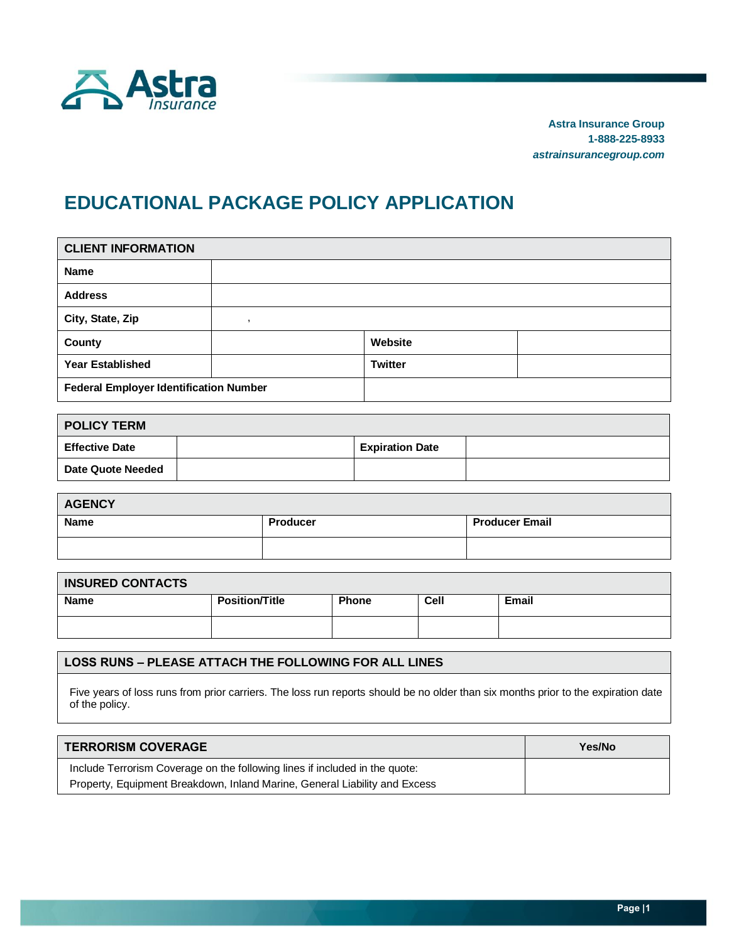

**Astra Insurance Group 1-888-225-8933** *astrainsurancegroup.com*

# **EDUCATIONAL PACKAGE POLICY APPLICATION**

| <b>CLIENT INFORMATION</b>                     |  |                |  |  |  |  |  |
|-----------------------------------------------|--|----------------|--|--|--|--|--|
| <b>Name</b>                                   |  |                |  |  |  |  |  |
| <b>Address</b>                                |  |                |  |  |  |  |  |
| City, State, Zip                              |  |                |  |  |  |  |  |
| County                                        |  | Website        |  |  |  |  |  |
| <b>Year Established</b>                       |  | <b>Twitter</b> |  |  |  |  |  |
| <b>Federal Employer Identification Number</b> |  |                |  |  |  |  |  |

| <b>POLICY TERM</b>    |  |                        |  |  |  |  |  |
|-----------------------|--|------------------------|--|--|--|--|--|
| <b>Effective Date</b> |  | <b>Expiration Date</b> |  |  |  |  |  |
| Date Quote Needed     |  |                        |  |  |  |  |  |

| <b>AGENCY</b> |                 |                       |  |  |  |  |  |
|---------------|-----------------|-----------------------|--|--|--|--|--|
| <b>Name</b>   | <b>Producer</b> | <b>Producer Email</b> |  |  |  |  |  |
|               |                 |                       |  |  |  |  |  |

| <b>INSURED CONTACTS</b> |                       |              |      |              |  |  |  |
|-------------------------|-----------------------|--------------|------|--------------|--|--|--|
| <b>Name</b>             | <b>Position/Title</b> | <b>Phone</b> | Cell | <b>Email</b> |  |  |  |
|                         |                       |              |      |              |  |  |  |

### **LOSS RUNS – PLEASE ATTACH THE FOLLOWING FOR ALL LINES**

Five years of loss runs from prior carriers. The loss run reports should be no older than six months prior to the expiration date of the policy.

| <b>TERRORISM COVERAGE</b>                                                   | Yes/No |
|-----------------------------------------------------------------------------|--------|
| Include Terrorism Coverage on the following lines if included in the quote: |        |
| Property, Equipment Breakdown, Inland Marine, General Liability and Excess  |        |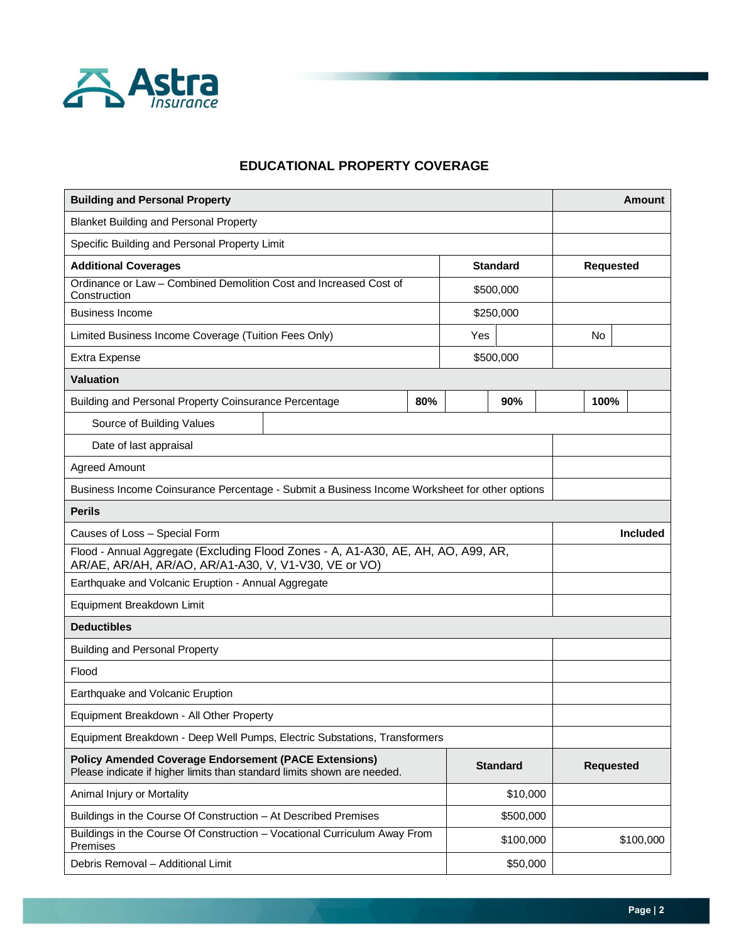

# **EDUCATIONAL PROPERTY COVERAGE**

| <b>Building and Personal Property</b>                                                                                                                      |     |     |                 |  |                  |  | <b>Amount</b> |
|------------------------------------------------------------------------------------------------------------------------------------------------------------|-----|-----|-----------------|--|------------------|--|---------------|
| <b>Blanket Building and Personal Property</b>                                                                                                              |     |     |                 |  |                  |  |               |
| Specific Building and Personal Property Limit                                                                                                              |     |     |                 |  |                  |  |               |
| <b>Additional Coverages</b>                                                                                                                                |     |     | <b>Standard</b> |  | <b>Requested</b> |  |               |
| Ordinance or Law - Combined Demolition Cost and Increased Cost of<br>Construction                                                                          |     |     | \$500,000       |  |                  |  |               |
| <b>Business Income</b>                                                                                                                                     |     |     | \$250,000       |  |                  |  |               |
| Limited Business Income Coverage (Tuition Fees Only)                                                                                                       |     | Yes |                 |  | No               |  |               |
| Extra Expense                                                                                                                                              |     |     | \$500,000       |  |                  |  |               |
| <b>Valuation</b>                                                                                                                                           |     |     |                 |  |                  |  |               |
| Building and Personal Property Coinsurance Percentage                                                                                                      | 80% |     | 90%             |  | 100%             |  |               |
| Source of Building Values                                                                                                                                  |     |     |                 |  |                  |  |               |
| Date of last appraisal                                                                                                                                     |     |     |                 |  |                  |  |               |
| <b>Agreed Amount</b>                                                                                                                                       |     |     |                 |  |                  |  |               |
| Business Income Coinsurance Percentage - Submit a Business Income Worksheet for other options                                                              |     |     |                 |  |                  |  |               |
| <b>Perils</b>                                                                                                                                              |     |     |                 |  |                  |  |               |
| Causes of Loss - Special Form                                                                                                                              |     |     |                 |  | <b>Included</b>  |  |               |
| Flood - Annual Aggregate (Excluding Flood Zones - A, A1-A30, AE, AH, AO, A99, AR,<br>AR/AE, AR/AH, AR/AO, AR/A1-A30, V, V1-V30, VE or VO)                  |     |     |                 |  |                  |  |               |
| Earthquake and Volcanic Eruption - Annual Aggregate                                                                                                        |     |     |                 |  |                  |  |               |
| Equipment Breakdown Limit                                                                                                                                  |     |     |                 |  |                  |  |               |
| <b>Deductibles</b>                                                                                                                                         |     |     |                 |  |                  |  |               |
| <b>Building and Personal Property</b>                                                                                                                      |     |     |                 |  |                  |  |               |
| Flood                                                                                                                                                      |     |     |                 |  |                  |  |               |
| Earthquake and Volcanic Eruption                                                                                                                           |     |     |                 |  |                  |  |               |
| Equipment Breakdown - All Other Property                                                                                                                   |     |     |                 |  |                  |  |               |
| Equipment Breakdown - Deep Well Pumps, Electric Substations, Transformers                                                                                  |     |     |                 |  |                  |  |               |
| <b>Policy Amended Coverage Endorsement (PACE Extensions)</b><br><b>Standard</b><br>Please indicate if higher limits than standard limits shown are needed. |     |     |                 |  | <b>Requested</b> |  |               |
| \$10,000<br>Animal Injury or Mortality                                                                                                                     |     |     |                 |  |                  |  |               |
| \$500,000<br>Buildings in the Course Of Construction - At Described Premises                                                                               |     |     |                 |  |                  |  |               |
| Buildings in the Course Of Construction - Vocational Curriculum Away From<br>Premises                                                                      |     |     | \$100,000       |  |                  |  | \$100,000     |
| Debris Removal - Additional Limit<br>\$50,000                                                                                                              |     |     |                 |  |                  |  |               |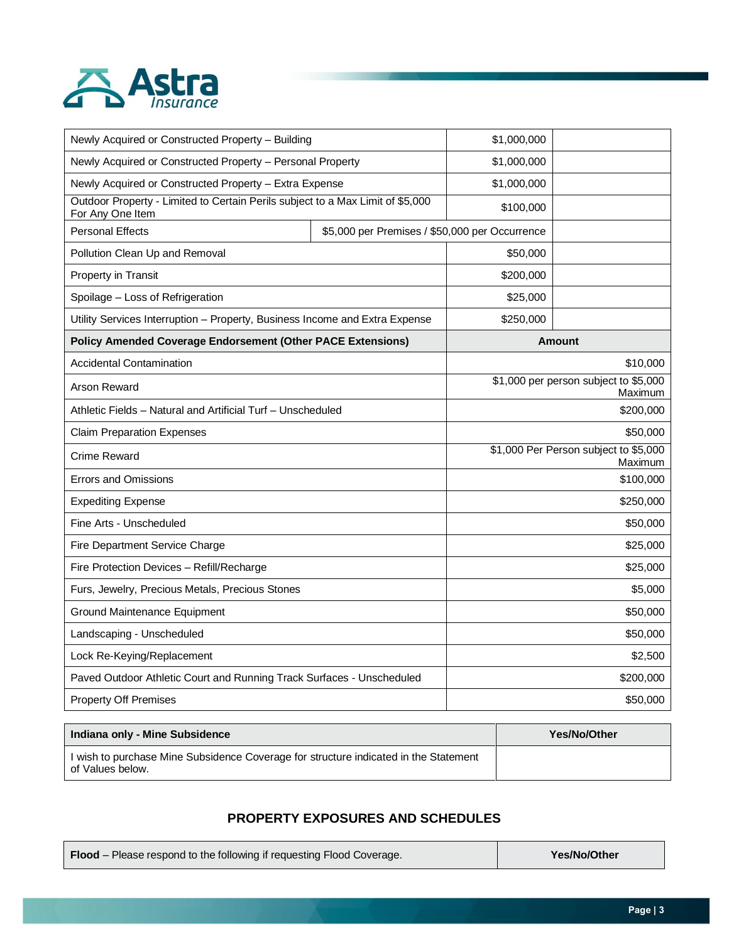

| Newly Acquired or Constructed Property - Building                                                  | \$1,000,000                                    |                                                  |               |  |
|----------------------------------------------------------------------------------------------------|------------------------------------------------|--------------------------------------------------|---------------|--|
| Newly Acquired or Constructed Property - Personal Property                                         | \$1,000,000                                    |                                                  |               |  |
| Newly Acquired or Constructed Property - Extra Expense                                             |                                                | \$1,000,000                                      |               |  |
| Outdoor Property - Limited to Certain Perils subject to a Max Limit of \$5,000<br>For Any One Item |                                                | \$100,000                                        |               |  |
| <b>Personal Effects</b>                                                                            | \$5,000 per Premises / \$50,000 per Occurrence |                                                  |               |  |
| Pollution Clean Up and Removal                                                                     |                                                | \$50,000                                         |               |  |
| Property in Transit                                                                                |                                                | \$200,000                                        |               |  |
| Spoilage - Loss of Refrigeration                                                                   |                                                | \$25,000                                         |               |  |
| Utility Services Interruption - Property, Business Income and Extra Expense                        |                                                | \$250,000                                        |               |  |
| <b>Policy Amended Coverage Endorsement (Other PACE Extensions)</b>                                 |                                                |                                                  | <b>Amount</b> |  |
| <b>Accidental Contamination</b>                                                                    |                                                |                                                  | \$10,000      |  |
| <b>Arson Reward</b>                                                                                |                                                | \$1,000 per person subject to \$5,000<br>Maximum |               |  |
| Athletic Fields – Natural and Artificial Turf – Unscheduled                                        |                                                | \$200,000                                        |               |  |
| <b>Claim Preparation Expenses</b>                                                                  |                                                | \$50,000                                         |               |  |
| <b>Crime Reward</b>                                                                                |                                                | \$1,000 Per Person subject to \$5,000<br>Maximum |               |  |
| <b>Errors and Omissions</b>                                                                        |                                                |                                                  | \$100,000     |  |
| <b>Expediting Expense</b>                                                                          |                                                |                                                  | \$250,000     |  |
| Fine Arts - Unscheduled                                                                            |                                                |                                                  | \$50,000      |  |
| Fire Department Service Charge                                                                     |                                                |                                                  | \$25,000      |  |
| Fire Protection Devices - Refill/Recharge                                                          |                                                |                                                  | \$25,000      |  |
| Furs, Jewelry, Precious Metals, Precious Stones                                                    | \$5,000                                        |                                                  |               |  |
| Ground Maintenance Equipment                                                                       |                                                | \$50,000                                         |               |  |
| Landscaping - Unscheduled                                                                          |                                                | \$50,000                                         |               |  |
| Lock Re-Keying/Replacement                                                                         |                                                | \$2,500                                          |               |  |
| Paved Outdoor Athletic Court and Running Track Surfaces - Unscheduled                              |                                                | \$200,000                                        |               |  |
| <b>Property Off Premises</b>                                                                       |                                                | \$50,000                                         |               |  |

| Indiana only - Mine Subsidence                                                                           | Yes/No/Other |
|----------------------------------------------------------------------------------------------------------|--------------|
| I wish to purchase Mine Subsidence Coverage for structure indicated in the Statement<br>of Values below. |              |

# **PROPERTY EXPOSURES AND SCHEDULES**

**Flood** – Please respond to the following if requesting Flood Coverage. **Yes/No/Other**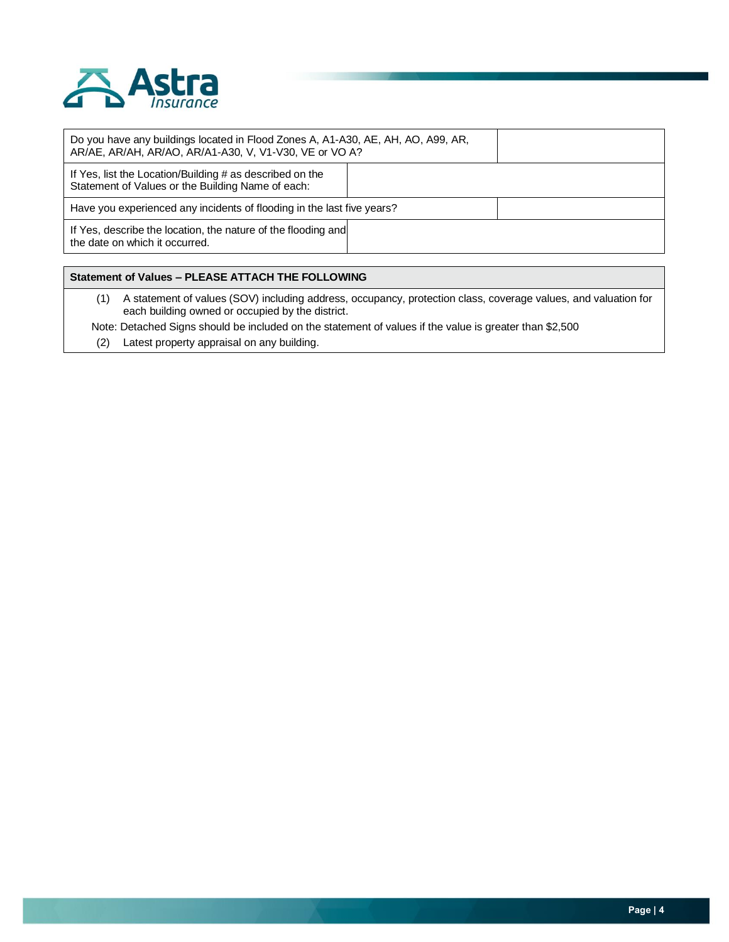

| Do you have any buildings located in Flood Zones A, A1-A30, AE, AH, AO, A99, AR,<br>AR/AE, AR/AH, AR/AO, AR/A1-A30, V, V1-V30, VE or VO A? |  |
|--------------------------------------------------------------------------------------------------------------------------------------------|--|
| If Yes, list the Location/Building # as described on the<br>Statement of Values or the Building Name of each:                              |  |
| Have you experienced any incidents of flooding in the last five years?                                                                     |  |
| If Yes, describe the location, the nature of the flooding and<br>the date on which it occurred.                                            |  |

### **Statement of Values – PLEASE ATTACH THE FOLLOWING**

(1) A statement of values (SOV) including address, occupancy, protection class, coverage values, and valuation for each building owned or occupied by the district.

Note: Detached Signs should be included on the statement of values if the value is greater than \$2,500

(2) Latest property appraisal on any building.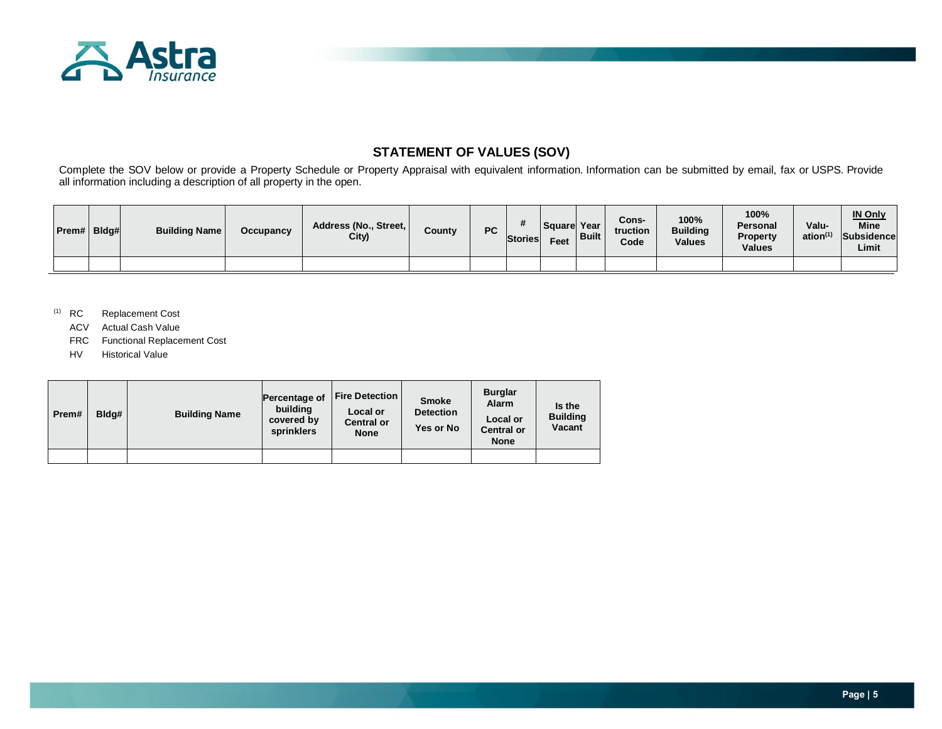

### **STATEMENT OF VALUES (SOV)**

Complete the SOV below or provide a Property Schedule or Property Appraisal with equivalent information. Information can be submitted by email, fax or USPS. Provide all information including a description of all property in the open.

| Prem# | Bldg# | <b>Building Name</b> | Occupancy | Address (No., Street,<br>City) | County | <b>PC</b> | <b>Stories</b> | Square  Year<br>Feet | <b>Built</b> | Cons-<br>truction<br>Code | 100%<br><b>Building</b><br><b>Values</b> | 100%<br><b>Personal</b><br>Property<br><b>Values</b> | Valu-<br>ation <sup>(1)</sup> | <b>IN Only</b><br><b>Mine</b><br>Subsidence<br>Limit |
|-------|-------|----------------------|-----------|--------------------------------|--------|-----------|----------------|----------------------|--------------|---------------------------|------------------------------------------|------------------------------------------------------|-------------------------------|------------------------------------------------------|
|       |       |                      |           |                                |        |           |                |                      |              |                           |                                          |                                                      |                               |                                                      |

(1) RC Replacement Cost

- ACV Actual Cash Value
- FRC Functional Replacement Cost
- HV Historical Value

| Prem# | Bldg# | <b>Building Name</b> | Percentage of<br>building<br>covered by<br>sprinklers | <b>Fire Detection</b><br>Local or<br><b>Central or</b><br><b>None</b> | <b>Smoke</b><br><b>Detection</b><br>Yes or No | <b>Burglar</b><br><b>Alarm</b><br>Local or<br><b>Central or</b><br><b>None</b> | Is the<br><b>Building</b><br>Vacant |
|-------|-------|----------------------|-------------------------------------------------------|-----------------------------------------------------------------------|-----------------------------------------------|--------------------------------------------------------------------------------|-------------------------------------|
|       |       |                      |                                                       |                                                                       |                                               |                                                                                |                                     |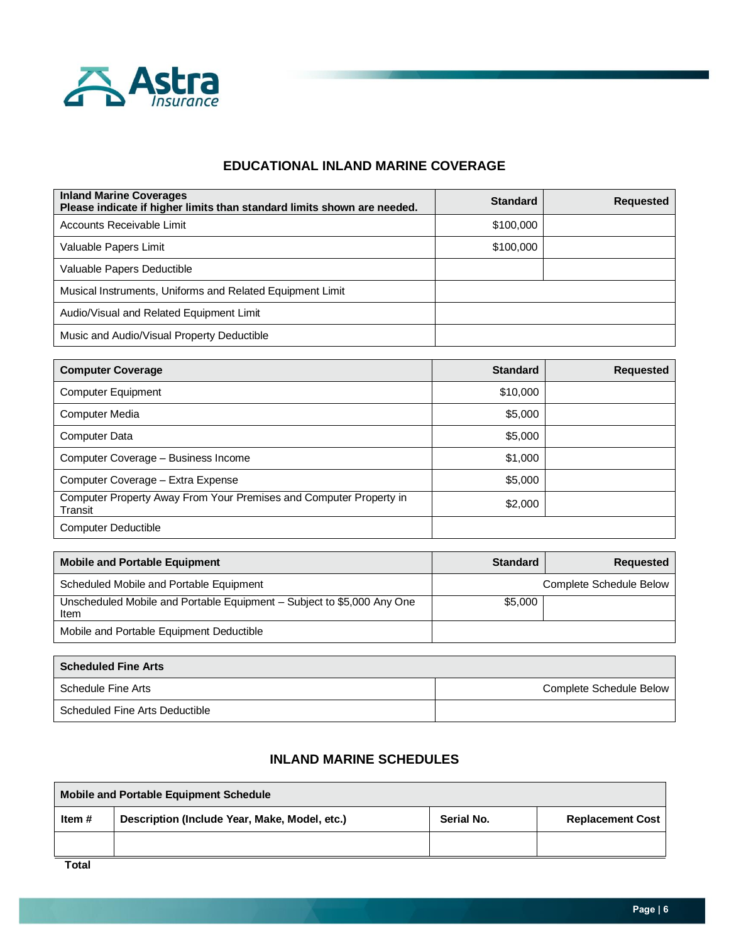

# **EDUCATIONAL INLAND MARINE COVERAGE**

| <b>Inland Marine Coverages</b><br>Please indicate if higher limits than standard limits shown are needed. | <b>Standard</b> | <b>Requested</b> |
|-----------------------------------------------------------------------------------------------------------|-----------------|------------------|
| Accounts Receivable Limit                                                                                 | \$100,000       |                  |
| Valuable Papers Limit                                                                                     | \$100,000       |                  |
| Valuable Papers Deductible                                                                                |                 |                  |
| Musical Instruments, Uniforms and Related Equipment Limit                                                 |                 |                  |
| Audio/Visual and Related Equipment Limit                                                                  |                 |                  |
| Music and Audio/Visual Property Deductible                                                                |                 |                  |

| <b>Computer Coverage</b>                                                      | <b>Standard</b> | <b>Requested</b> |
|-------------------------------------------------------------------------------|-----------------|------------------|
| <b>Computer Equipment</b>                                                     | \$10,000        |                  |
| <b>Computer Media</b>                                                         | \$5,000         |                  |
| <b>Computer Data</b>                                                          | \$5,000         |                  |
| Computer Coverage - Business Income                                           | \$1,000         |                  |
| Computer Coverage - Extra Expense                                             | \$5,000         |                  |
| Computer Property Away From Your Premises and Computer Property in<br>Transit | \$2,000         |                  |
| <b>Computer Deductible</b>                                                    |                 |                  |

| <b>Mobile and Portable Equipment</b>                                           | <b>Standard</b> | <b>Requested</b>        |
|--------------------------------------------------------------------------------|-----------------|-------------------------|
| Scheduled Mobile and Portable Equipment                                        |                 | Complete Schedule Below |
| Unscheduled Mobile and Portable Equipment - Subject to \$5,000 Any One<br>Item | \$5,000         |                         |
| Mobile and Portable Equipment Deductible                                       |                 |                         |

| <b>Scheduled Fine Arts</b>     |                         |
|--------------------------------|-------------------------|
| Schedule Fine Arts             | Complete Schedule Below |
| Scheduled Fine Arts Deductible |                         |

### **INLAND MARINE SCHEDULES**

| Mobile and Portable Equipment Schedule                                                             |  |  |  |
|----------------------------------------------------------------------------------------------------|--|--|--|
| Description (Include Year, Make, Model, etc.)<br>Serial No.<br>Item $#$<br><b>Replacement Cost</b> |  |  |  |
|                                                                                                    |  |  |  |
| _ _ _                                                                                              |  |  |  |

**Total**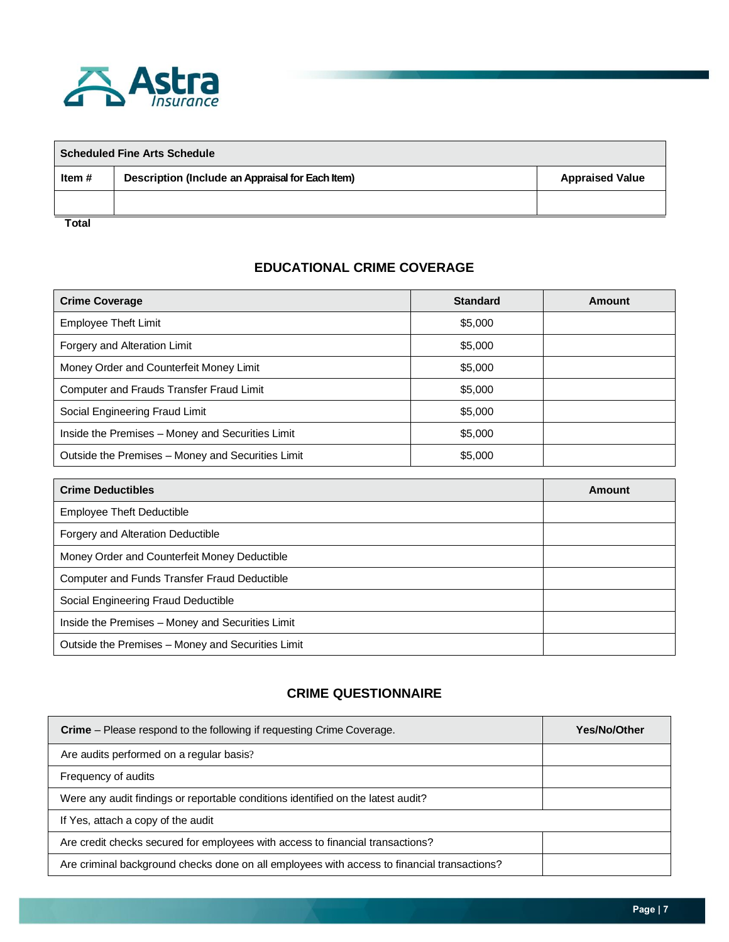

| <b>Scheduled Fine Arts Schedule</b> |                                                  |                        |
|-------------------------------------|--------------------------------------------------|------------------------|
| Item #                              | Description (Include an Appraisal for Each Item) | <b>Appraised Value</b> |
|                                     |                                                  |                        |
| <b>Total</b>                        |                                                  |                        |

# **EDUCATIONAL CRIME COVERAGE**

| <b>Crime Coverage</b>                             | <b>Standard</b> | Amount |
|---------------------------------------------------|-----------------|--------|
| Employee Theft Limit                              | \$5,000         |        |
| Forgery and Alteration Limit                      | \$5,000         |        |
| Money Order and Counterfeit Money Limit           | \$5,000         |        |
| Computer and Frauds Transfer Fraud Limit          | \$5,000         |        |
| Social Engineering Fraud Limit                    | \$5,000         |        |
| Inside the Premises - Money and Securities Limit  | \$5,000         |        |
| Outside the Premises - Money and Securities Limit | \$5,000         |        |

| <b>Crime Deductibles</b>                          | Amount |
|---------------------------------------------------|--------|
| <b>Employee Theft Deductible</b>                  |        |
| Forgery and Alteration Deductible                 |        |
| Money Order and Counterfeit Money Deductible      |        |
| Computer and Funds Transfer Fraud Deductible      |        |
| Social Engineering Fraud Deductible               |        |
| Inside the Premises - Money and Securities Limit  |        |
| Outside the Premises - Money and Securities Limit |        |

# **CRIME QUESTIONNAIRE**

| <b>Crime</b> – Please respond to the following if requesting Crime Coverage.                | <b>Yes/No/Other</b> |
|---------------------------------------------------------------------------------------------|---------------------|
| Are audits performed on a regular basis?                                                    |                     |
| Frequency of audits                                                                         |                     |
| Were any audit findings or reportable conditions identified on the latest audit?            |                     |
| If Yes, attach a copy of the audit                                                          |                     |
| Are credit checks secured for employees with access to financial transactions?              |                     |
| Are criminal background checks done on all employees with access to financial transactions? |                     |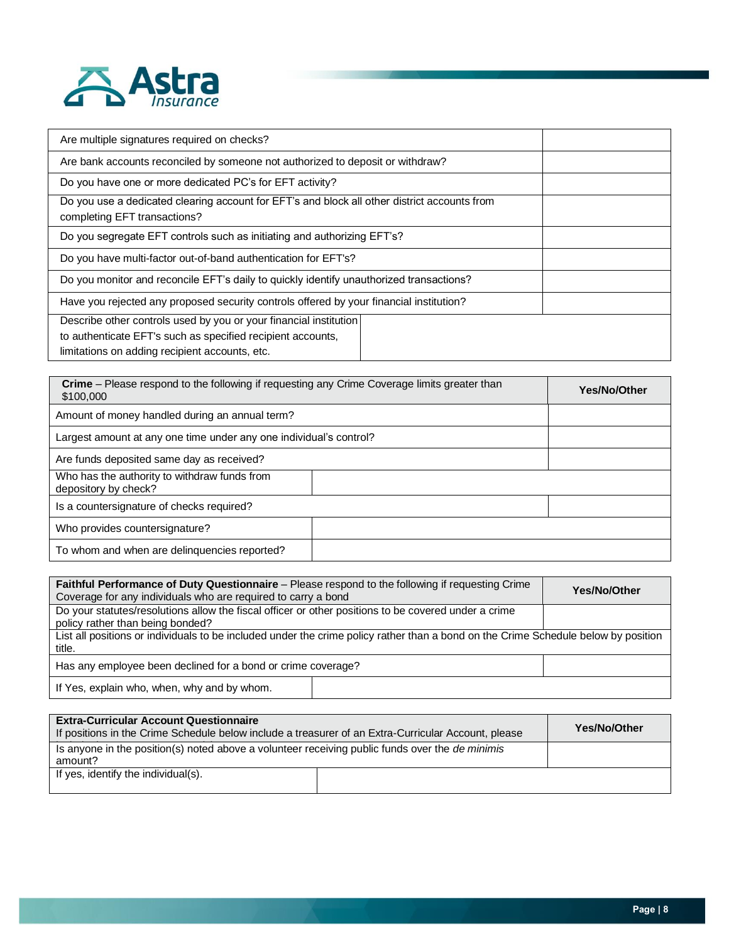

| Are multiple signatures required on checks?                                                                                  |
|------------------------------------------------------------------------------------------------------------------------------|
| Are bank accounts reconciled by someone not authorized to deposit or withdraw?                                               |
| Do you have one or more dedicated PC's for EFT activity?                                                                     |
| Do you use a dedicated clearing account for EFT's and block all other district accounts from<br>completing EFT transactions? |
| Do you segregate EFT controls such as initiating and authorizing EFT's?                                                      |
| Do you have multi-factor out-of-band authentication for EFT's?                                                               |
| Do you monitor and reconcile EFT's daily to quickly identify unauthorized transactions?                                      |
| Have you rejected any proposed security controls offered by your financial institution?                                      |
| Describe other controls used by you or your financial institution                                                            |
| to authenticate EFT's such as specified recipient accounts,                                                                  |
| limitations on adding recipient accounts, etc.                                                                               |

| <b>Crime</b> – Please respond to the following if requesting any Crime Coverage limits greater than<br>\$100,000 | Yes/No/Other |
|------------------------------------------------------------------------------------------------------------------|--------------|
| Amount of money handled during an annual term?                                                                   |              |
| Largest amount at any one time under any one individual's control?                                               |              |
| Are funds deposited same day as received?                                                                        |              |
| Who has the authority to withdraw funds from<br>depository by check?                                             |              |
| Is a countersignature of checks required?                                                                        |              |
| Who provides countersignature?                                                                                   |              |
| To whom and when are delinquencies reported?                                                                     |              |

| <b>Faithful Performance of Duty Questionnaire</b> – Please respond to the following if requesting Crime<br>Coverage for any individuals who are required to carry a bond |  | Yes/No/Other |
|--------------------------------------------------------------------------------------------------------------------------------------------------------------------------|--|--------------|
| Do your statutes/resolutions allow the fiscal officer or other positions to be covered under a crime<br>policy rather than being bonded?                                 |  |              |
| List all positions or individuals to be included under the crime policy rather than a bond on the Crime Schedule below by position<br>title.                             |  |              |
| Has any employee been declined for a bond or crime coverage?                                                                                                             |  |              |
| If Yes, explain who, when, why and by whom.                                                                                                                              |  |              |

| <b>Extra-Curricular Account Questionnaire</b><br>If positions in the Crime Schedule below include a treasurer of an Extra-Curricular Account, please | <b>Yes/No/Other</b> |
|------------------------------------------------------------------------------------------------------------------------------------------------------|---------------------|
| Is anyone in the position(s) noted above a volunteer receiving public funds over the <i>de minimis</i><br>amount?                                    |                     |
| If yes, identify the individual(s).                                                                                                                  |                     |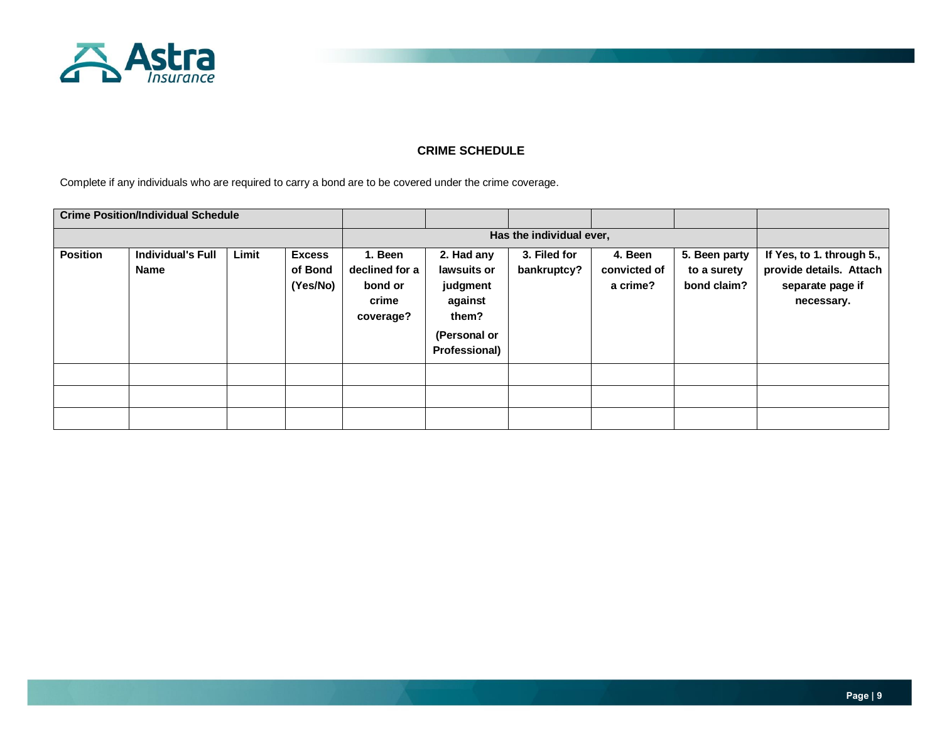

### **CRIME SCHEDULE**

Complete if any individuals who are required to carry a bond are to be covered under the crime coverage.

|                 | <b>Crime Position/Individual Schedule</b> |       |                                      |                                                            |                                                                                            |                             |                                     |                                             |                                                                                        |
|-----------------|-------------------------------------------|-------|--------------------------------------|------------------------------------------------------------|--------------------------------------------------------------------------------------------|-----------------------------|-------------------------------------|---------------------------------------------|----------------------------------------------------------------------------------------|
|                 |                                           |       |                                      |                                                            |                                                                                            | Has the individual ever,    |                                     |                                             |                                                                                        |
| <b>Position</b> | <b>Individual's Full</b><br><b>Name</b>   | Limit | <b>Excess</b><br>of Bond<br>(Yes/No) | 1. Been<br>declined for a<br>bond or<br>crime<br>coverage? | 2. Had any<br>lawsuits or<br>judgment<br>against<br>them?<br>(Personal or<br>Professional) | 3. Filed for<br>bankruptcy? | 4. Been<br>convicted of<br>a crime? | 5. Been party<br>to a surety<br>bond claim? | If Yes, to 1. through 5.,<br>provide details. Attach<br>separate page if<br>necessary. |
|                 |                                           |       |                                      |                                                            |                                                                                            |                             |                                     |                                             |                                                                                        |
|                 |                                           |       |                                      |                                                            |                                                                                            |                             |                                     |                                             |                                                                                        |
|                 |                                           |       |                                      |                                                            |                                                                                            |                             |                                     |                                             |                                                                                        |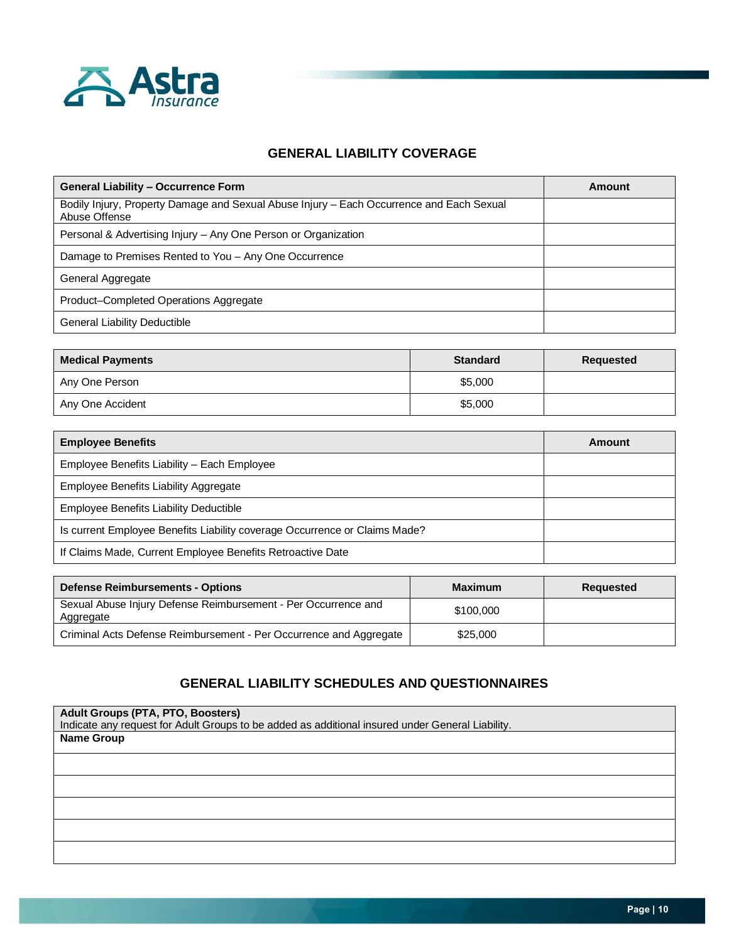

# **GENERAL LIABILITY COVERAGE**

| <b>General Liability - Occurrence Form</b>                                                                | Amount |
|-----------------------------------------------------------------------------------------------------------|--------|
| Bodily Injury, Property Damage and Sexual Abuse Injury – Each Occurrence and Each Sexual<br>Abuse Offense |        |
| Personal & Advertising Injury - Any One Person or Organization                                            |        |
| Damage to Premises Rented to You - Any One Occurrence                                                     |        |
| General Aggregate                                                                                         |        |
| Product-Completed Operations Aggregate                                                                    |        |
| General Liability Deductible                                                                              |        |

| <b>Medical Payments</b> | <b>Standard</b> | Requested |
|-------------------------|-----------------|-----------|
| Any One Person          | \$5,000         |           |
| Any One Accident        | \$5,000         |           |

| <b>Employee Benefits</b>                                                   | Amount |
|----------------------------------------------------------------------------|--------|
| Employee Benefits Liability - Each Employee                                |        |
| Employee Benefits Liability Aggregate                                      |        |
| Employee Benefits Liability Deductible                                     |        |
| Is current Employee Benefits Liability coverage Occurrence or Claims Made? |        |
| If Claims Made, Current Employee Benefits Retroactive Date                 |        |

| <b>Defense Reimbursements - Options</b>                                     | Maximum   | Requested |
|-----------------------------------------------------------------------------|-----------|-----------|
| Sexual Abuse Injury Defense Reimbursement - Per Occurrence and<br>Aggregate | \$100,000 |           |
| Criminal Acts Defense Reimbursement - Per Occurrence and Aggregate          | \$25,000  |           |

# **GENERAL LIABILITY SCHEDULES AND QUESTIONNAIRES**

**Adult Groups (PTA, PTO, Boosters)** Indicate any request for Adult Groups to be added as additional insured under General Liability. **Name Group**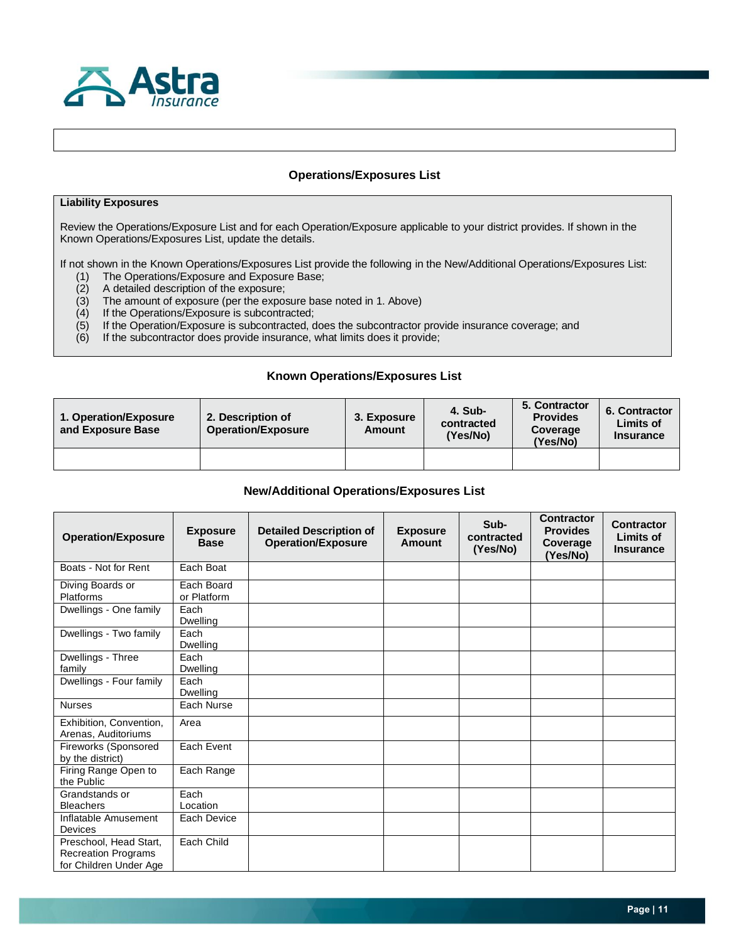

### **Operations/Exposures List**

### **Liability Exposures**

Review the Operations/Exposure List and for each Operation/Exposure applicable to your district provides. If shown in the Known Operations/Exposures List, update the details.

If not shown in the Known Operations/Exposures List provide the following in the New/Additional Operations/Exposures List:

- (1) The Operations/Exposure and Exposure Base;
- (2) A detailed description of the exposure;
- (3) The amount of exposure (per the exposure base noted in 1. Above) (4) If the Operations/Exposure is subcontracted;
- If the Operations/Exposure is subcontracted;
- (5) If the Operation/Exposure is subcontracted, does the subcontractor provide insurance coverage; and
- (6) If the subcontractor does provide insurance, what limits does it provide;

### **Known Operations/Exposures List**

| 1. Operation/Exposure<br>and Exposure Base | 2. Description of<br><b>Operation/Exposure</b> | 3. Exposure<br>Amount | 4. Sub-<br>contracted<br>(Yes/No) | 5. Contractor<br><b>Provides</b><br>Coverage<br>(Yes/No) | 6. Contractor<br><b>Limits of</b><br><b>Insurance</b> |
|--------------------------------------------|------------------------------------------------|-----------------------|-----------------------------------|----------------------------------------------------------|-------------------------------------------------------|
|                                            |                                                |                       |                                   |                                                          |                                                       |

### **New/Additional Operations/Exposures List**

| <b>Operation/Exposure</b>                                                      | <b>Exposure</b><br><b>Base</b> | <b>Detailed Description of</b><br><b>Operation/Exposure</b> | <b>Exposure</b><br><b>Amount</b> | Sub-<br>contracted<br>(Yes/No) | <b>Contractor</b><br><b>Provides</b><br>Coverage<br>(Yes/No) | Contractor<br>Limits of<br><b>Insurance</b> |
|--------------------------------------------------------------------------------|--------------------------------|-------------------------------------------------------------|----------------------------------|--------------------------------|--------------------------------------------------------------|---------------------------------------------|
| Boats - Not for Rent                                                           | Each Boat                      |                                                             |                                  |                                |                                                              |                                             |
| Diving Boards or<br>Platforms                                                  | Each Board<br>or Platform      |                                                             |                                  |                                |                                                              |                                             |
| Dwellings - One family                                                         | Each<br><b>Dwelling</b>        |                                                             |                                  |                                |                                                              |                                             |
| Dwellings - Two family                                                         | Each<br>Dwelling               |                                                             |                                  |                                |                                                              |                                             |
| Dwellings - Three<br>family                                                    | Each<br>Dwelling               |                                                             |                                  |                                |                                                              |                                             |
| Dwellings - Four family                                                        | Each<br><b>Dwelling</b>        |                                                             |                                  |                                |                                                              |                                             |
| <b>Nurses</b>                                                                  | Each Nurse                     |                                                             |                                  |                                |                                                              |                                             |
| Exhibition, Convention,<br>Arenas, Auditoriums                                 | Area                           |                                                             |                                  |                                |                                                              |                                             |
| Fireworks (Sponsored<br>by the district)                                       | Each Event                     |                                                             |                                  |                                |                                                              |                                             |
| Firing Range Open to<br>the Public                                             | Each Range                     |                                                             |                                  |                                |                                                              |                                             |
| Grandstands or<br><b>Bleachers</b>                                             | Each<br>Location               |                                                             |                                  |                                |                                                              |                                             |
| Inflatable Amusement<br>Devices                                                | Each Device                    |                                                             |                                  |                                |                                                              |                                             |
| Preschool, Head Start,<br><b>Recreation Programs</b><br>for Children Under Age | Each Child                     |                                                             |                                  |                                |                                                              |                                             |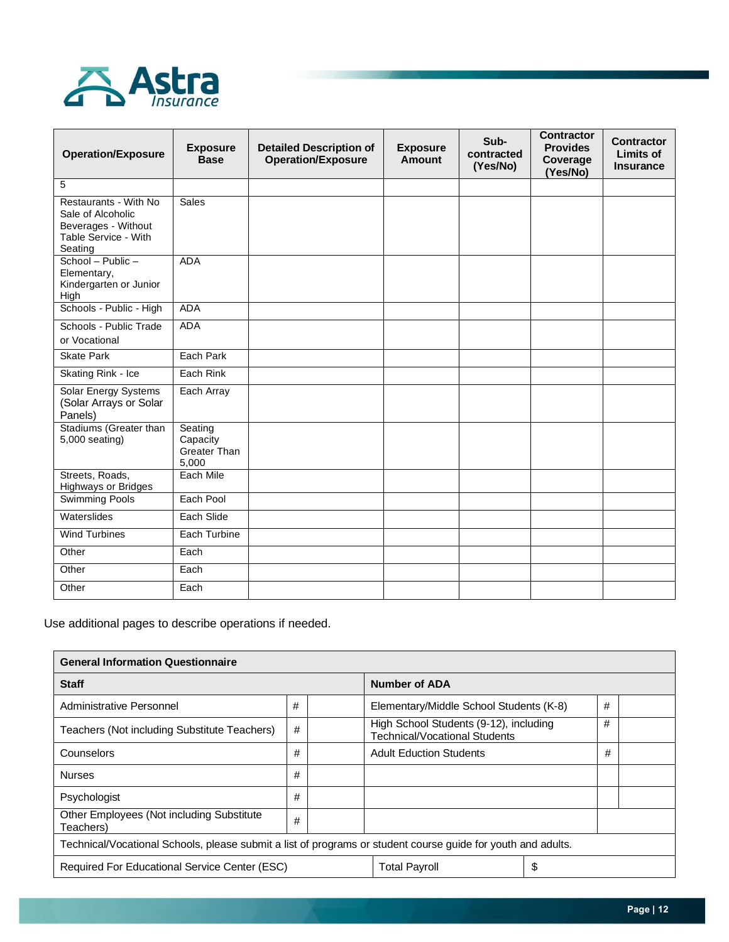

| <b>Operation/Exposure</b>                                                                            | <b>Exposure</b><br><b>Base</b>                      | <b>Detailed Description of</b><br><b>Operation/Exposure</b> | <b>Exposure</b><br><b>Amount</b> | Sub-<br>contracted<br>(Yes/No) | <b>Contractor</b><br><b>Provides</b><br>Coverage<br>(Yes/No) | <b>Contractor</b><br>Limits of<br><b>Insurance</b> |
|------------------------------------------------------------------------------------------------------|-----------------------------------------------------|-------------------------------------------------------------|----------------------------------|--------------------------------|--------------------------------------------------------------|----------------------------------------------------|
| 5                                                                                                    |                                                     |                                                             |                                  |                                |                                                              |                                                    |
| Restaurants - With No<br>Sale of Alcoholic<br>Beverages - Without<br>Table Service - With<br>Seating | Sales                                               |                                                             |                                  |                                |                                                              |                                                    |
| School - Public -<br>Elementary,<br>Kindergarten or Junior<br>High                                   | <b>ADA</b>                                          |                                                             |                                  |                                |                                                              |                                                    |
| Schools - Public - High                                                                              | <b>ADA</b>                                          |                                                             |                                  |                                |                                                              |                                                    |
| Schools - Public Trade<br>or Vocational                                                              | <b>ADA</b>                                          |                                                             |                                  |                                |                                                              |                                                    |
| <b>Skate Park</b>                                                                                    | Each Park                                           |                                                             |                                  |                                |                                                              |                                                    |
| Skating Rink - Ice                                                                                   | Each Rink                                           |                                                             |                                  |                                |                                                              |                                                    |
| Solar Energy Systems<br>(Solar Arrays or Solar<br>Panels)                                            | Each Array                                          |                                                             |                                  |                                |                                                              |                                                    |
| Stadiums (Greater than<br>5,000 seating)                                                             | Seating<br>Capacity<br><b>Greater Than</b><br>5.000 |                                                             |                                  |                                |                                                              |                                                    |
| Streets, Roads,<br>Highways or Bridges                                                               | Each Mile                                           |                                                             |                                  |                                |                                                              |                                                    |
| <b>Swimming Pools</b>                                                                                | Each Pool                                           |                                                             |                                  |                                |                                                              |                                                    |
| Waterslides                                                                                          | Each Slide                                          |                                                             |                                  |                                |                                                              |                                                    |
| <b>Wind Turbines</b>                                                                                 | Each Turbine                                        |                                                             |                                  |                                |                                                              |                                                    |
| Other                                                                                                | Each                                                |                                                             |                                  |                                |                                                              |                                                    |
| Other                                                                                                | Each                                                |                                                             |                                  |                                |                                                              |                                                    |
| Other                                                                                                | Each                                                |                                                             |                                  |                                |                                                              |                                                    |

Use additional pages to describe operations if needed.

| <b>General Information Questionnaire</b>                                                                     |                                          |  |                                                                                |    |   |  |  |
|--------------------------------------------------------------------------------------------------------------|------------------------------------------|--|--------------------------------------------------------------------------------|----|---|--|--|
| <b>Staff</b>                                                                                                 |                                          |  | <b>Number of ADA</b>                                                           |    |   |  |  |
| Administrative Personnel                                                                                     | #                                        |  | Elementary/Middle School Students (K-8)                                        |    | # |  |  |
| Teachers (Not including Substitute Teachers)                                                                 | #                                        |  | High School Students (9-12), including<br><b>Technical/Vocational Students</b> |    | # |  |  |
| Counselors                                                                                                   | #<br>#<br><b>Adult Eduction Students</b> |  |                                                                                |    |   |  |  |
| <b>Nurses</b>                                                                                                | #                                        |  |                                                                                |    |   |  |  |
| Psychologist                                                                                                 | #                                        |  |                                                                                |    |   |  |  |
| Other Employees (Not including Substitute<br>#<br>Teachers)                                                  |                                          |  |                                                                                |    |   |  |  |
| Technical/Vocational Schools, please submit a list of programs or student course guide for youth and adults. |                                          |  |                                                                                |    |   |  |  |
| Required For Educational Service Center (ESC)                                                                |                                          |  | <b>Total Payroll</b>                                                           | \$ |   |  |  |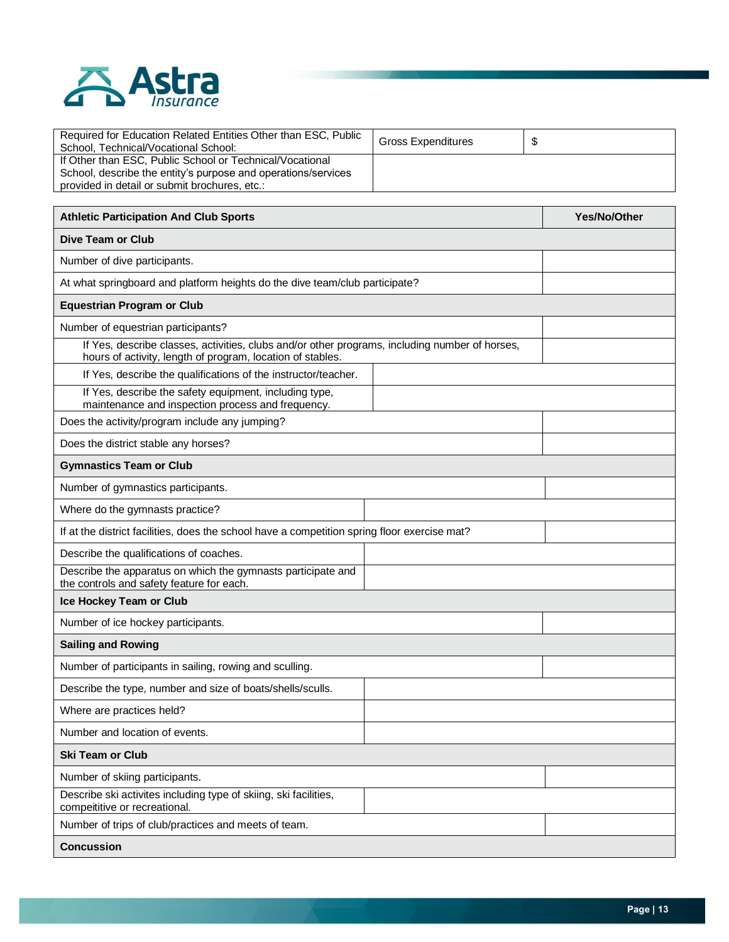

| Required for Education Related Entities Other than ESC, Public<br>School. Technical/Vocational School: | <b>Gross Expenditures</b> |  |
|--------------------------------------------------------------------------------------------------------|---------------------------|--|
| If Other than ESC, Public School or Technical/Vocational                                               |                           |  |
| School, describe the entity's purpose and operations/services                                          |                           |  |
| provided in detail or submit brochures, etc.:                                                          |                           |  |

| <b>Athletic Participation And Club Sports</b>                                                                                                                | Yes/No/Other |
|--------------------------------------------------------------------------------------------------------------------------------------------------------------|--------------|
| <b>Dive Team or Club</b>                                                                                                                                     |              |
| Number of dive participants.                                                                                                                                 |              |
| At what springboard and platform heights do the dive team/club participate?                                                                                  |              |
| <b>Equestrian Program or Club</b>                                                                                                                            |              |
| Number of equestrian participants?                                                                                                                           |              |
| If Yes, describe classes, activities, clubs and/or other programs, including number of horses,<br>hours of activity, length of program, location of stables. |              |
| If Yes, describe the qualifications of the instructor/teacher.                                                                                               |              |
| If Yes, describe the safety equipment, including type,<br>maintenance and inspection process and frequency.                                                  |              |
| Does the activity/program include any jumping?                                                                                                               |              |
| Does the district stable any horses?                                                                                                                         |              |
| <b>Gymnastics Team or Club</b>                                                                                                                               |              |
| Number of gymnastics participants.                                                                                                                           |              |
| Where do the gymnasts practice?                                                                                                                              |              |
| If at the district facilities, does the school have a competition spring floor exercise mat?                                                                 |              |
| Describe the qualifications of coaches.                                                                                                                      |              |
| Describe the apparatus on which the gymnasts participate and<br>the controls and safety feature for each.                                                    |              |
| Ice Hockey Team or Club                                                                                                                                      |              |
| Number of ice hockey participants.                                                                                                                           |              |
| <b>Sailing and Rowing</b>                                                                                                                                    |              |
| Number of participants in sailing, rowing and sculling.                                                                                                      |              |
| Describe the type, number and size of boats/shells/sculls.                                                                                                   |              |
| Where are practices held?                                                                                                                                    |              |
| Number and location of events.                                                                                                                               |              |
| <b>Ski Team or Club</b>                                                                                                                                      |              |
| Number of skiing participants.                                                                                                                               |              |
| Describe ski activites including type of skiing, ski facilities,<br>compeititive or recreational.                                                            |              |
| Number of trips of club/practices and meets of team.                                                                                                         |              |
| <b>Concussion</b>                                                                                                                                            |              |

┑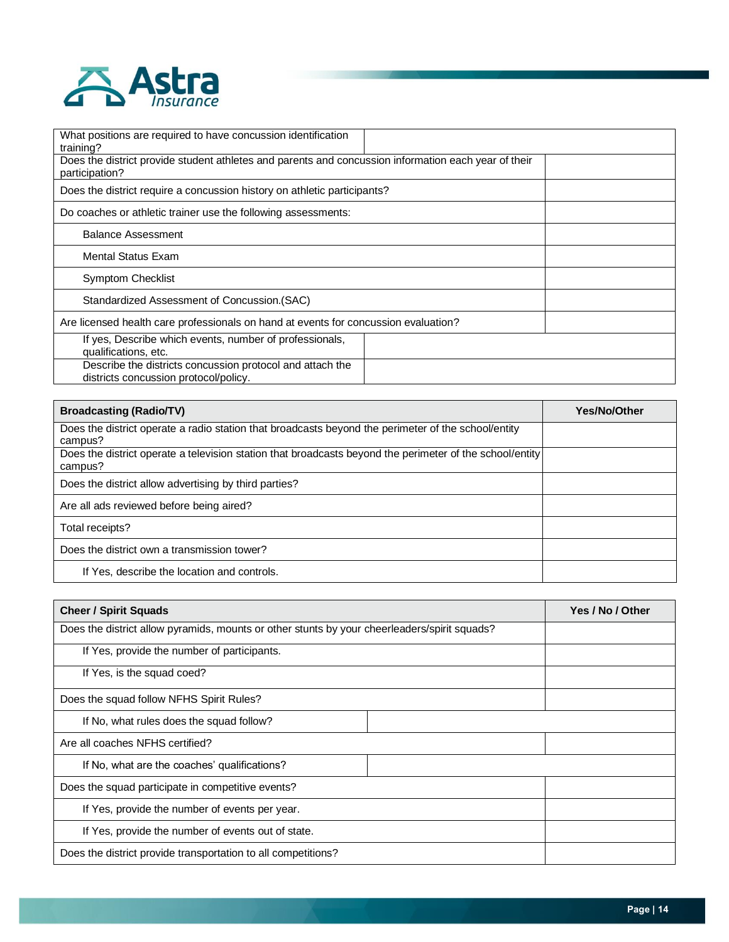

| What positions are required to have concussion identification<br>training?                                             |
|------------------------------------------------------------------------------------------------------------------------|
| Does the district provide student athletes and parents and concussion information each year of their<br>participation? |
| Does the district require a concussion history on athletic participants?                                               |
| Do coaches or athletic trainer use the following assessments:                                                          |
| <b>Balance Assessment</b>                                                                                              |
| <b>Mental Status Exam</b>                                                                                              |
| <b>Symptom Checklist</b>                                                                                               |
| Standardized Assessment of Concussion. (SAC)                                                                           |
| Are licensed health care professionals on hand at events for concussion evaluation?                                    |
| If yes, Describe which events, number of professionals,<br>qualifications, etc.                                        |
| Describe the districts concussion protocol and attach the<br>districts concussion protocol/policy.                     |

| <b>Broadcasting (Radio/TV)</b>                                                                                      | <b>Yes/No/Other</b> |
|---------------------------------------------------------------------------------------------------------------------|---------------------|
| Does the district operate a radio station that broadcasts beyond the perimeter of the school/entity<br>campus?      |                     |
| Does the district operate a television station that broadcasts beyond the perimeter of the school/entity<br>campus? |                     |
| Does the district allow advertising by third parties?                                                               |                     |
| Are all ads reviewed before being aired?                                                                            |                     |
| Total receipts?                                                                                                     |                     |
| Does the district own a transmission tower?                                                                         |                     |
| If Yes, describe the location and controls.                                                                         |                     |

| <b>Cheer / Spirit Squads</b>                                                                 |  | Yes / No / Other |
|----------------------------------------------------------------------------------------------|--|------------------|
| Does the district allow pyramids, mounts or other stunts by your cheerleaders/spirit squads? |  |                  |
| If Yes, provide the number of participants.                                                  |  |                  |
| If Yes, is the squad coed?                                                                   |  |                  |
| Does the squad follow NFHS Spirit Rules?                                                     |  |                  |
| If No, what rules does the squad follow?                                                     |  |                  |
| Are all coaches NFHS certified?                                                              |  |                  |
| If No, what are the coaches' qualifications?                                                 |  |                  |
| Does the squad participate in competitive events?                                            |  |                  |
| If Yes, provide the number of events per year.                                               |  |                  |
| If Yes, provide the number of events out of state.                                           |  |                  |
| Does the district provide transportation to all competitions?                                |  |                  |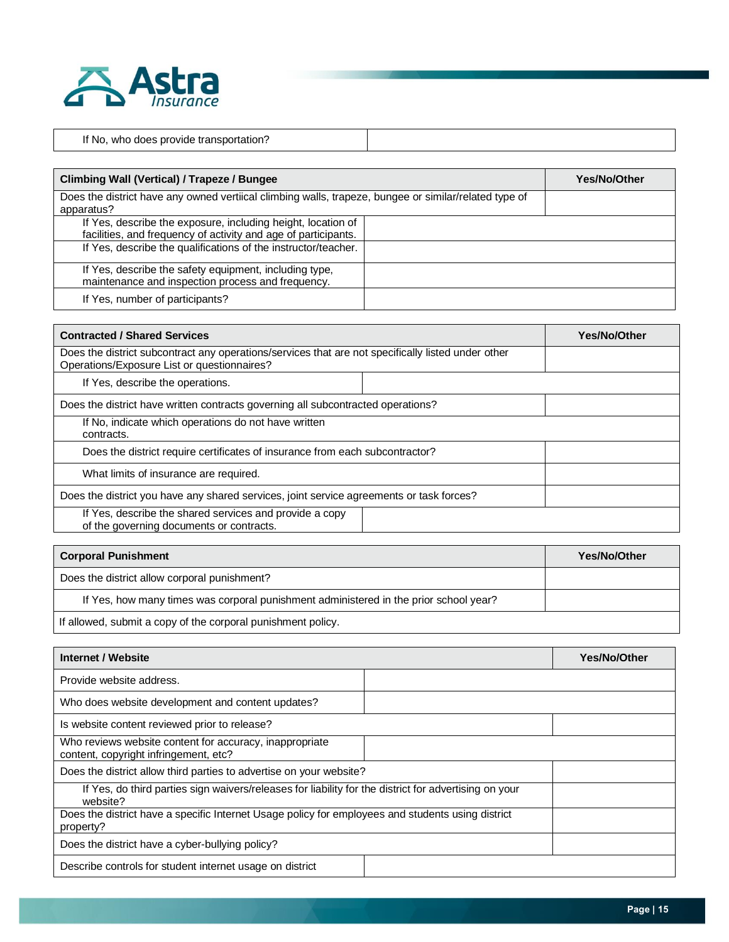

| .<br>if No<br>whc<br>nnes<br>°oviae<br>, transportation?<br>IJГ |  |
|-----------------------------------------------------------------|--|

| <b>Climbing Wall (Vertical) / Trapeze / Bungee</b>                                                                             |  | <b>Yes/No/Other</b> |
|--------------------------------------------------------------------------------------------------------------------------------|--|---------------------|
| Does the district have any owned vertiical climbing walls, trapeze, bungee or similar/related type of                          |  |                     |
| apparatus?                                                                                                                     |  |                     |
| If Yes, describe the exposure, including height, location of<br>facilities, and frequency of activity and age of participants. |  |                     |
| If Yes, describe the qualifications of the instructor/teacher.                                                                 |  |                     |
| If Yes, describe the safety equipment, including type,<br>maintenance and inspection process and frequency.                    |  |                     |
| If Yes, number of participants?                                                                                                |  |                     |

| <b>Contracted / Shared Services</b>                                                                                                               | <b>Yes/No/Other</b> |
|---------------------------------------------------------------------------------------------------------------------------------------------------|---------------------|
| Does the district subcontract any operations/services that are not specifically listed under other<br>Operations/Exposure List or questionnaires? |                     |
| If Yes, describe the operations.                                                                                                                  |                     |
| Does the district have written contracts governing all subcontracted operations?                                                                  |                     |
| If No, indicate which operations do not have written<br>contracts.                                                                                |                     |
| Does the district require certificates of insurance from each subcontractor?                                                                      |                     |
| What limits of insurance are required.                                                                                                            |                     |
| Does the district you have any shared services, joint service agreements or task forces?                                                          |                     |
| If Yes, describe the shared services and provide a copy<br>of the governing documents or contracts.                                               |                     |

| <b>Corporal Punishment</b>                                                            | <b>Yes/No/Other</b> |
|---------------------------------------------------------------------------------------|---------------------|
| Does the district allow corporal punishment?                                          |                     |
| If Yes, how many times was corporal punishment administered in the prior school year? |                     |
| If allowed, submit a copy of the corporal punishment policy.                          |                     |

| Internet / Website                                                                                                |  | Yes/No/Other |
|-------------------------------------------------------------------------------------------------------------------|--|--------------|
| Provide website address.                                                                                          |  |              |
| Who does website development and content updates?                                                                 |  |              |
| Is website content reviewed prior to release?                                                                     |  |              |
| Who reviews website content for accuracy, inappropriate<br>content, copyright infringement, etc?                  |  |              |
| Does the district allow third parties to advertise on your website?                                               |  |              |
| If Yes, do third parties sign waivers/releases for liability for the district for advertising on your<br>website? |  |              |
| Does the district have a specific Internet Usage policy for employees and students using district<br>property?    |  |              |
| Does the district have a cyber-bullying policy?                                                                   |  |              |
| Describe controls for student internet usage on district                                                          |  |              |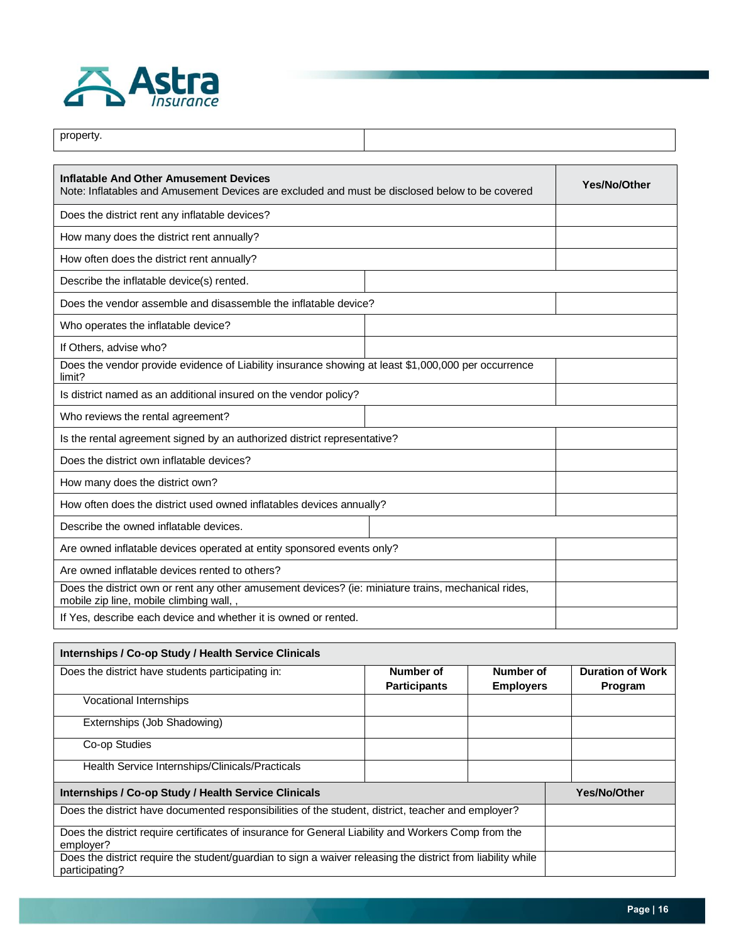

| property.                                                                                                                                     |  |              |
|-----------------------------------------------------------------------------------------------------------------------------------------------|--|--------------|
|                                                                                                                                               |  |              |
| Inflatable And Other Amusement Devices<br>Note: Inflatables and Amusement Devices are excluded and must be disclosed below to be covered      |  | Yes/No/Other |
| Does the district rent any inflatable devices?                                                                                                |  |              |
| How many does the district rent annually?                                                                                                     |  |              |
| How often does the district rent annually?                                                                                                    |  |              |
| Describe the inflatable device(s) rented.                                                                                                     |  |              |
| Does the vendor assemble and disassemble the inflatable device?                                                                               |  |              |
| Who operates the inflatable device?                                                                                                           |  |              |
| If Others, advise who?                                                                                                                        |  |              |
| Does the vendor provide evidence of Liability insurance showing at least \$1,000,000 per occurrence<br>limit?                                 |  |              |
| Is district named as an additional insured on the vendor policy?                                                                              |  |              |
| Who reviews the rental agreement?                                                                                                             |  |              |
| Is the rental agreement signed by an authorized district representative?                                                                      |  |              |
| Does the district own inflatable devices?                                                                                                     |  |              |
| How many does the district own?                                                                                                               |  |              |
| How often does the district used owned inflatables devices annually?                                                                          |  |              |
| Describe the owned inflatable devices.                                                                                                        |  |              |
| Are owned inflatable devices operated at entity sponsored events only?                                                                        |  |              |
| Are owned inflatable devices rented to others?                                                                                                |  |              |
| Does the district own or rent any other amusement devices? (ie: miniature trains, mechanical rides,<br>mobile zip line, mobile climbing wall, |  |              |
| If Yes, describe each device and whether it is owned or rented.                                                                               |  |              |

| Internships / Co-op Study / Health Service Clinicals                                                        |                     |                  |                         |  |
|-------------------------------------------------------------------------------------------------------------|---------------------|------------------|-------------------------|--|
| Does the district have students participating in:                                                           | Number of           | Number of        | <b>Duration of Work</b> |  |
|                                                                                                             | <b>Participants</b> | <b>Employers</b> | Program                 |  |
| Vocational Internships                                                                                      |                     |                  |                         |  |
| Externships (Job Shadowing)                                                                                 |                     |                  |                         |  |
| Co-op Studies                                                                                               |                     |                  |                         |  |
| Health Service Internships/Clinicals/Practicals                                                             |                     |                  |                         |  |
| <b>Internships / Co-op Study / Health Service Clinicals</b>                                                 |                     |                  | Yes/No/Other            |  |
| Does the district have documented responsibilities of the student, district, teacher and employer?          |                     |                  |                         |  |
| Does the district require certificates of insurance for General Liability and Workers Comp from the         |                     |                  |                         |  |
| emplover?                                                                                                   |                     |                  |                         |  |
| Does the district require the student/guardian to sign a waiver releasing the district from liability while |                     |                  |                         |  |
| participating?                                                                                              |                     |                  |                         |  |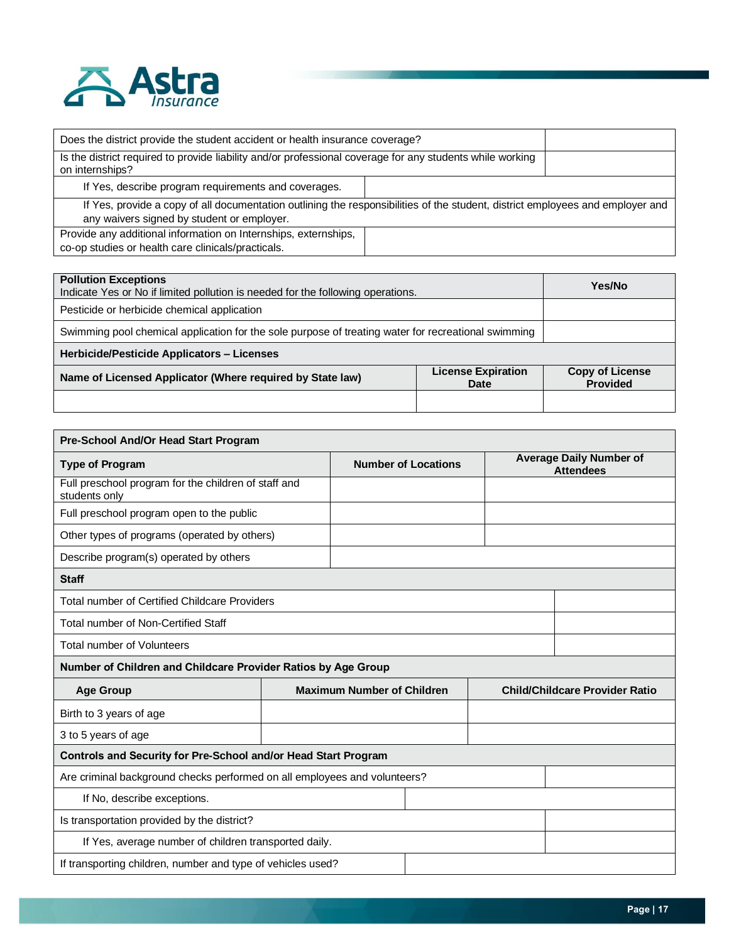

| Does the district provide the student accident or health insurance coverage?                                                                                                 |  |  |
|------------------------------------------------------------------------------------------------------------------------------------------------------------------------------|--|--|
| Is the district required to provide liability and/or professional coverage for any students while working<br>on internships?                                                 |  |  |
| If Yes, describe program requirements and coverages.                                                                                                                         |  |  |
| If Yes, provide a copy of all documentation outlining the responsibilities of the student, district employees and employer and<br>any waivers signed by student or employer. |  |  |
| Provide any additional information on Internships, externships,<br>co-op studies or health care clinicals/practicals.                                                        |  |  |

| <b>Pollution Exceptions</b><br>Indicate Yes or No if limited pollution is needed for the following operations. | Yes/No                                    |  |
|----------------------------------------------------------------------------------------------------------------|-------------------------------------------|--|
| Pesticide or herbicide chemical application                                                                    |                                           |  |
| Swimming pool chemical application for the sole purpose of treating water for recreational swimming            |                                           |  |
| Herbicide/Pesticide Applicators - Licenses                                                                     |                                           |  |
| Name of Licensed Applicator (Where required by State law)                                                      | <b>Copy of License</b><br><b>Provided</b> |  |
|                                                                                                                |                                           |  |

| Pre-School And/Or Head Start Program                                      |  |                                   |  |                                                    |                                       |
|---------------------------------------------------------------------------|--|-----------------------------------|--|----------------------------------------------------|---------------------------------------|
| <b>Type of Program</b>                                                    |  | <b>Number of Locations</b>        |  | <b>Average Daily Number of</b><br><b>Attendees</b> |                                       |
| Full preschool program for the children of staff and<br>students only     |  |                                   |  |                                                    |                                       |
| Full preschool program open to the public                                 |  |                                   |  |                                                    |                                       |
| Other types of programs (operated by others)                              |  |                                   |  |                                                    |                                       |
| Describe program(s) operated by others                                    |  |                                   |  |                                                    |                                       |
| <b>Staff</b>                                                              |  |                                   |  |                                                    |                                       |
| <b>Total number of Certified Childcare Providers</b>                      |  |                                   |  |                                                    |                                       |
| <b>Total number of Non-Certified Staff</b>                                |  |                                   |  |                                                    |                                       |
| <b>Total number of Volunteers</b>                                         |  |                                   |  |                                                    |                                       |
| Number of Children and Childcare Provider Ratios by Age Group             |  |                                   |  |                                                    |                                       |
| <b>Age Group</b>                                                          |  | <b>Maximum Number of Children</b> |  |                                                    | <b>Child/Childcare Provider Ratio</b> |
| Birth to 3 years of age                                                   |  |                                   |  |                                                    |                                       |
| 3 to 5 years of age                                                       |  |                                   |  |                                                    |                                       |
| Controls and Security for Pre-School and/or Head Start Program            |  |                                   |  |                                                    |                                       |
| Are criminal background checks performed on all employees and volunteers? |  |                                   |  |                                                    |                                       |
| If No, describe exceptions.                                               |  |                                   |  |                                                    |                                       |
| Is transportation provided by the district?                               |  |                                   |  |                                                    |                                       |
| If Yes, average number of children transported daily.                     |  |                                   |  |                                                    |                                       |
| If transporting children, number and type of vehicles used?               |  |                                   |  |                                                    |                                       |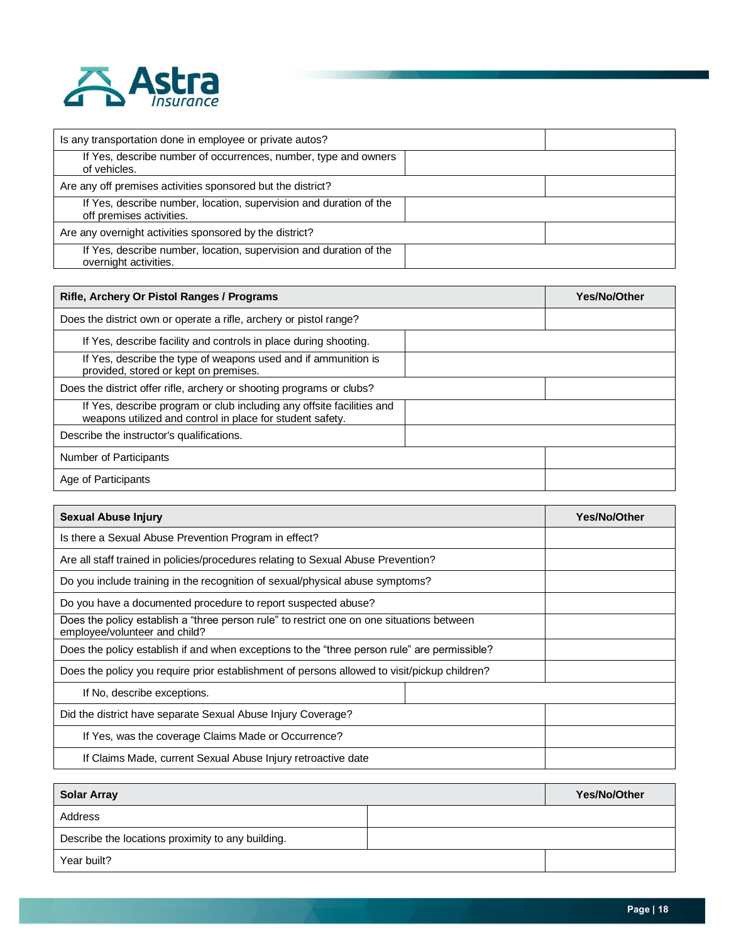

| Is any transportation done in employee or private autos?                                       |  |
|------------------------------------------------------------------------------------------------|--|
| If Yes, describe number of occurrences, number, type and owners<br>of vehicles.                |  |
| Are any off premises activities sponsored but the district?                                    |  |
| If Yes, describe number, location, supervision and duration of the<br>off premises activities. |  |
| Are any overnight activities sponsored by the district?                                        |  |
| If Yes, describe number, location, supervision and duration of the<br>overnight activities.    |  |

| <b>Rifle, Archery Or Pistol Ranges / Programs</b>                                                                                  | Yes/No/Other |
|------------------------------------------------------------------------------------------------------------------------------------|--------------|
| Does the district own or operate a rifle, archery or pistol range?                                                                 |              |
| If Yes, describe facility and controls in place during shooting.                                                                   |              |
| If Yes, describe the type of weapons used and if ammunition is<br>provided, stored or kept on premises.                            |              |
| Does the district offer rifle, archery or shooting programs or clubs?                                                              |              |
| If Yes, describe program or club including any offsite facilities and<br>weapons utilized and control in place for student safety. |              |
| Describe the instructor's qualifications.                                                                                          |              |
| Number of Participants                                                                                                             |              |
| Age of Participants                                                                                                                |              |

| <b>Sexual Abuse Injury</b>                                                                                                 | <b>Yes/No/Other</b> |
|----------------------------------------------------------------------------------------------------------------------------|---------------------|
| Is there a Sexual Abuse Prevention Program in effect?                                                                      |                     |
| Are all staff trained in policies/procedures relating to Sexual Abuse Prevention?                                          |                     |
| Do you include training in the recognition of sexual/physical abuse symptoms?                                              |                     |
| Do you have a documented procedure to report suspected abuse?                                                              |                     |
| Does the policy establish a "three person rule" to restrict one on one situations between<br>employee/volunteer and child? |                     |
| Does the policy establish if and when exceptions to the "three person rule" are permissible?                               |                     |
| Does the policy you require prior establishment of persons allowed to visit/pickup children?                               |                     |
| If No, describe exceptions.                                                                                                |                     |
| Did the district have separate Sexual Abuse Injury Coverage?                                                               |                     |
| If Yes, was the coverage Claims Made or Occurrence?                                                                        |                     |
| If Claims Made, current Sexual Abuse Injury retroactive date                                                               |                     |

| <b>Solar Array</b>                                | Yes/No/Other |  |
|---------------------------------------------------|--------------|--|
| Address                                           |              |  |
| Describe the locations proximity to any building. |              |  |
| Year built?                                       |              |  |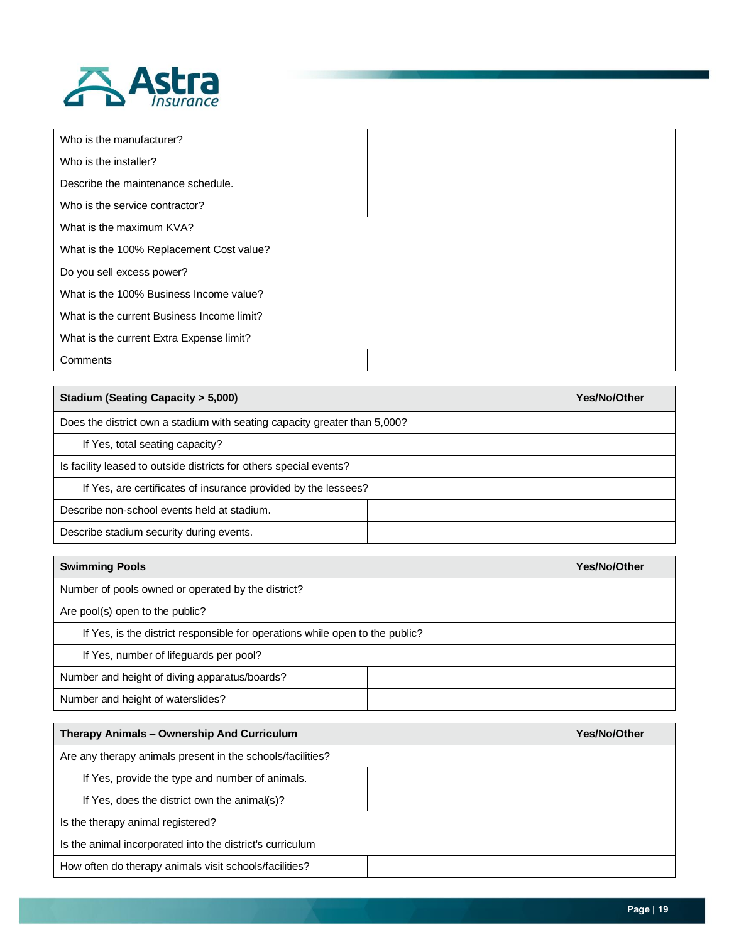

| Who is the manufacturer?                   |  |  |  |  |
|--------------------------------------------|--|--|--|--|
| Who is the installer?                      |  |  |  |  |
| Describe the maintenance schedule.         |  |  |  |  |
| Who is the service contractor?             |  |  |  |  |
| What is the maximum KVA?                   |  |  |  |  |
| What is the 100% Replacement Cost value?   |  |  |  |  |
| Do you sell excess power?                  |  |  |  |  |
| What is the 100% Business Income value?    |  |  |  |  |
| What is the current Business Income limit? |  |  |  |  |
| What is the current Extra Expense limit?   |  |  |  |  |
| Comments                                   |  |  |  |  |

| <b>Stadium (Seating Capacity &gt; 5,000)</b>                              | Yes/No/Other |  |
|---------------------------------------------------------------------------|--------------|--|
| Does the district own a stadium with seating capacity greater than 5,000? |              |  |
| If Yes, total seating capacity?                                           |              |  |
| Is facility leased to outside districts for others special events?        |              |  |
| If Yes, are certificates of insurance provided by the lessees?            |              |  |
| Describe non-school events held at stadium.                               |              |  |
| Describe stadium security during events.                                  |              |  |

| <b>Swimming Pools</b>                                                        | <b>Yes/No/Other</b> |  |
|------------------------------------------------------------------------------|---------------------|--|
| Number of pools owned or operated by the district?                           |                     |  |
| Are pool(s) open to the public?                                              |                     |  |
| If Yes, is the district responsible for operations while open to the public? |                     |  |
| If Yes, number of lifeguards per pool?                                       |                     |  |
| Number and height of diving apparatus/boards?                                |                     |  |
| Number and height of waterslides?                                            |                     |  |

| Therapy Animals - Ownership And Curriculum                 |  | Yes/No/Other |
|------------------------------------------------------------|--|--------------|
| Are any therapy animals present in the schools/facilities? |  |              |
| If Yes, provide the type and number of animals.            |  |              |
| If Yes, does the district own the animal(s)?               |  |              |
| Is the therapy animal registered?                          |  |              |
| Is the animal incorporated into the district's curriculum  |  |              |
| How often do therapy animals visit schools/facilities?     |  |              |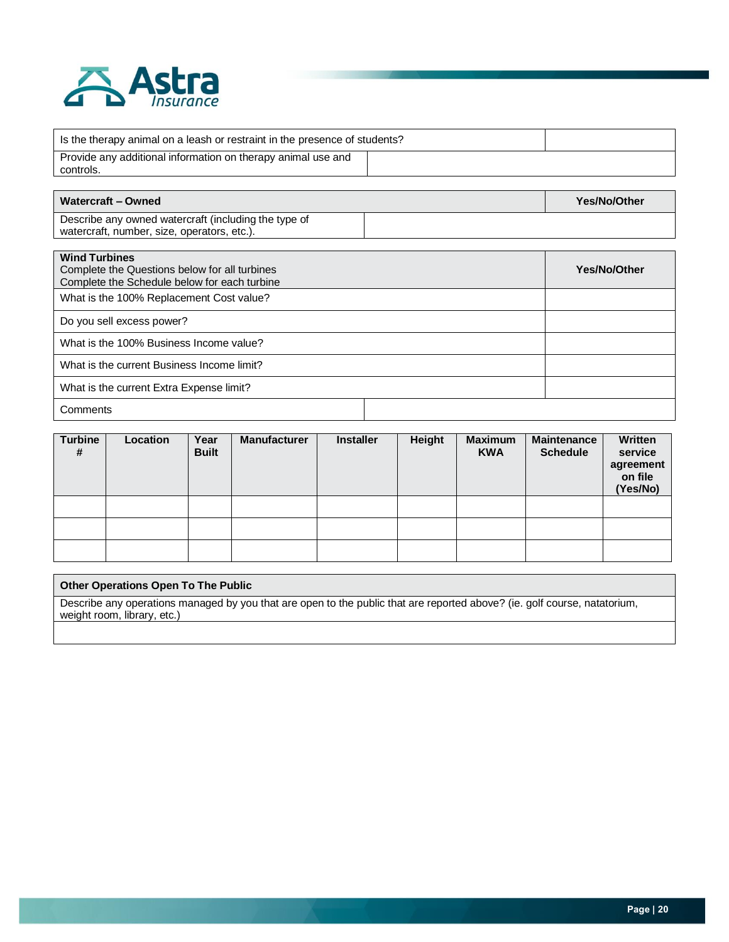

| Is the therapy animal on a leash or restraint in the presence of students? |  |  |
|----------------------------------------------------------------------------|--|--|
| Provide any additional information on therapy animal use and<br>controls.  |  |  |

| Watercraft - Owned                                   | Yes/No/Other |
|------------------------------------------------------|--------------|
| Describe any owned watercraft (including the type of |              |
| watercraft, number, size, operators, etc.).          |              |

| <b>Wind Turbines</b><br>Complete the Questions below for all turbines<br>Complete the Schedule below for each turbine | Yes/No/Other |  |  |
|-----------------------------------------------------------------------------------------------------------------------|--------------|--|--|
| What is the 100% Replacement Cost value?                                                                              |              |  |  |
| Do you sell excess power?                                                                                             |              |  |  |
| What is the 100% Business Income value?                                                                               |              |  |  |
| What is the current Business Income limit?                                                                            |              |  |  |
| What is the current Extra Expense limit?                                                                              |              |  |  |
| Comments                                                                                                              |              |  |  |

| Turbine<br># | Location | Year<br><b>Built</b> | <b>Manufacturer</b> | <b>Installer</b> | Height | <b>Maximum</b><br><b>KWA</b> | <b>Maintenance</b><br><b>Schedule</b> | Written<br>service<br>agreement<br>on file<br>(Yes/No) |
|--------------|----------|----------------------|---------------------|------------------|--------|------------------------------|---------------------------------------|--------------------------------------------------------|
|              |          |                      |                     |                  |        |                              |                                       |                                                        |
|              |          |                      |                     |                  |        |                              |                                       |                                                        |
|              |          |                      |                     |                  |        |                              |                                       |                                                        |

| <b>Other Operations Open To The Public</b>                                                                                |
|---------------------------------------------------------------------------------------------------------------------------|
| Describe any operations managed by you that are open to the public that are reported above? (ie. golf course, natatorium, |
| weight room, library, etc.)                                                                                               |
|                                                                                                                           |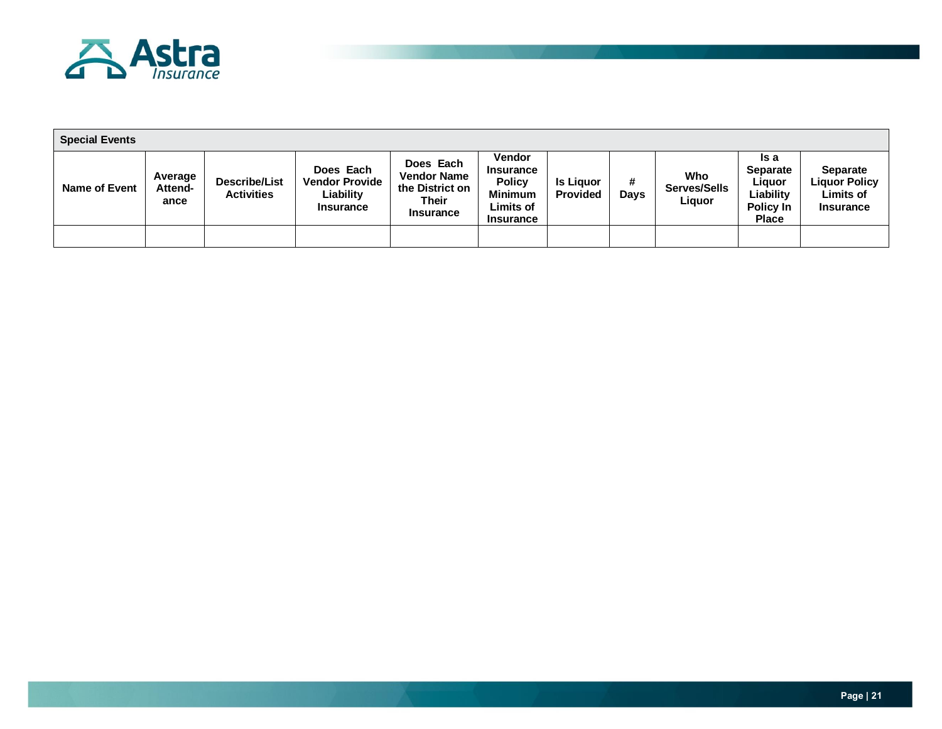

| <b>Special Events</b> |                                   |                                           |                                                                     |                                                                                        |                                                                                                |                                     |                  |                               |                                                                             |                                                                          |
|-----------------------|-----------------------------------|-------------------------------------------|---------------------------------------------------------------------|----------------------------------------------------------------------------------------|------------------------------------------------------------------------------------------------|-------------------------------------|------------------|-------------------------------|-----------------------------------------------------------------------------|--------------------------------------------------------------------------|
| <b>Name of Event</b>  | Average<br><b>Attend-</b><br>ance | <b>Describe/List</b><br><b>Activities</b> | Does Each<br><b>Vendor Provide</b><br>∟iability<br><b>Insurance</b> | Does Each<br><b>Vendor Name</b><br>the District on<br><b>Their</b><br><b>Insurance</b> | Vendor<br><b>Insurance</b><br><b>Policy</b><br><b>Minimum</b><br>Limits of<br><b>Insurance</b> | <b>Is Liguor</b><br><b>Provided</b> | #<br><b>Days</b> | Who<br>Serves/Sells<br>Liquor | ls a<br><b>Separate</b><br>Liguor<br>∟iability<br>Policy In<br><b>Place</b> | <b>Separate</b><br><b>Liquor Policy</b><br>Limits of<br><b>Insurance</b> |
|                       |                                   |                                           |                                                                     |                                                                                        |                                                                                                |                                     |                  |                               |                                                                             |                                                                          |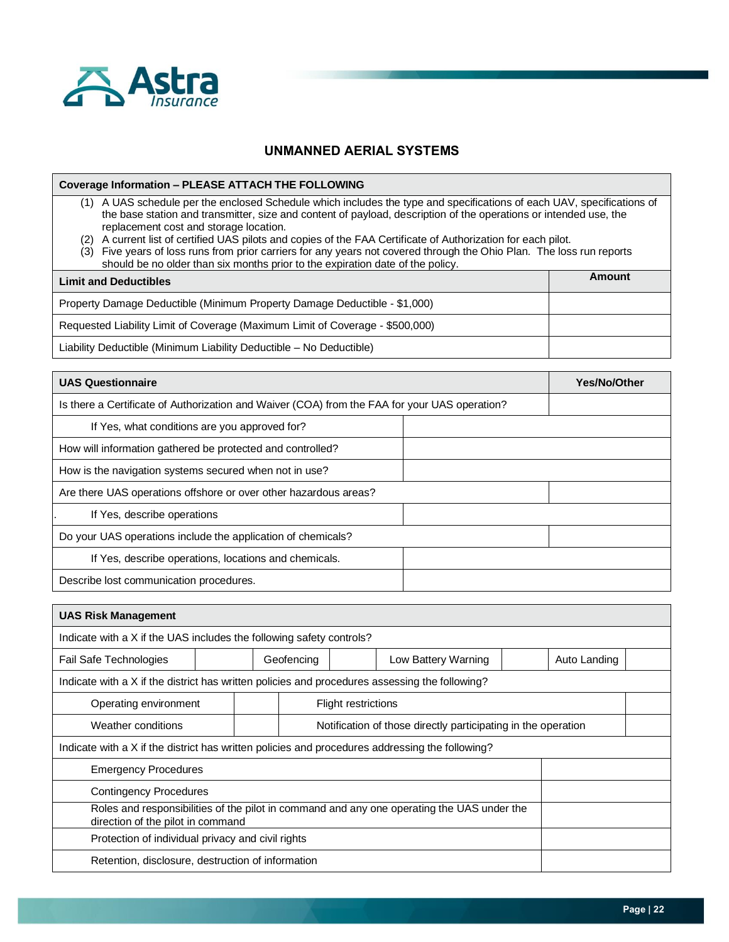

### **UNMANNED AERIAL SYSTEMS**

**Coverage Information – PLEASE ATTACH THE FOLLOWING**

- (1) A UAS schedule per the enclosed Schedule which includes the type and specifications of each UAV, specifications of the base station and transmitter, size and content of payload, description of the operations or intended use, the replacement cost and storage location.
- (2) A current list of certified UAS pilots and copies of the FAA Certificate of Authorization for each pilot.
- (3) Five years of loss runs from prior carriers for any years not covered through the Ohio Plan. The loss run reports should be no older than six months prior to the expiration date of the policy.

| <b>Limit and Deductibles</b>                                                  | Amount |
|-------------------------------------------------------------------------------|--------|
| Property Damage Deductible (Minimum Property Damage Deductible - \$1,000)     |        |
| Requested Liability Limit of Coverage (Maximum Limit of Coverage - \$500,000) |        |
| Liability Deductible (Minimum Liability Deductible – No Deductible)           |        |

| <b>UAS Questionnaire</b>                                                                      | <b>Yes/No/Other</b> |
|-----------------------------------------------------------------------------------------------|---------------------|
| Is there a Certificate of Authorization and Waiver (COA) from the FAA for your UAS operation? |                     |
| If Yes, what conditions are you approved for?                                                 |                     |
| How will information gathered be protected and controlled?                                    |                     |
| How is the navigation systems secured when not in use?                                        |                     |
| Are there UAS operations offshore or over other hazardous areas?                              |                     |
| If Yes, describe operations                                                                   |                     |
| Do your UAS operations include the application of chemicals?                                  |                     |
| If Yes, describe operations, locations and chemicals.                                         |                     |
| Describe lost communication procedures.                                                       |                     |

| <b>UAS Risk Management</b>                                                                                                      |                                                               |  |  |  |  |              |  |
|---------------------------------------------------------------------------------------------------------------------------------|---------------------------------------------------------------|--|--|--|--|--------------|--|
| Indicate with a X if the UAS includes the following safety controls?                                                            |                                                               |  |  |  |  |              |  |
| Fail Safe Technologies                                                                                                          | Geofencing<br>Low Battery Warning                             |  |  |  |  | Auto Landing |  |
| Indicate with a X if the district has written policies and procedures assessing the following?                                  |                                                               |  |  |  |  |              |  |
|                                                                                                                                 | Operating environment<br><b>Flight restrictions</b>           |  |  |  |  |              |  |
| Weather conditions                                                                                                              | Notification of those directly participating in the operation |  |  |  |  |              |  |
| Indicate with a X if the district has written policies and procedures addressing the following?                                 |                                                               |  |  |  |  |              |  |
| <b>Emergency Procedures</b>                                                                                                     |                                                               |  |  |  |  |              |  |
| <b>Contingency Procedures</b>                                                                                                   |                                                               |  |  |  |  |              |  |
| Roles and responsibilities of the pilot in command and any one operating the UAS under the<br>direction of the pilot in command |                                                               |  |  |  |  |              |  |
| Protection of individual privacy and civil rights                                                                               |                                                               |  |  |  |  |              |  |
| Retention, disclosure, destruction of information                                                                               |                                                               |  |  |  |  |              |  |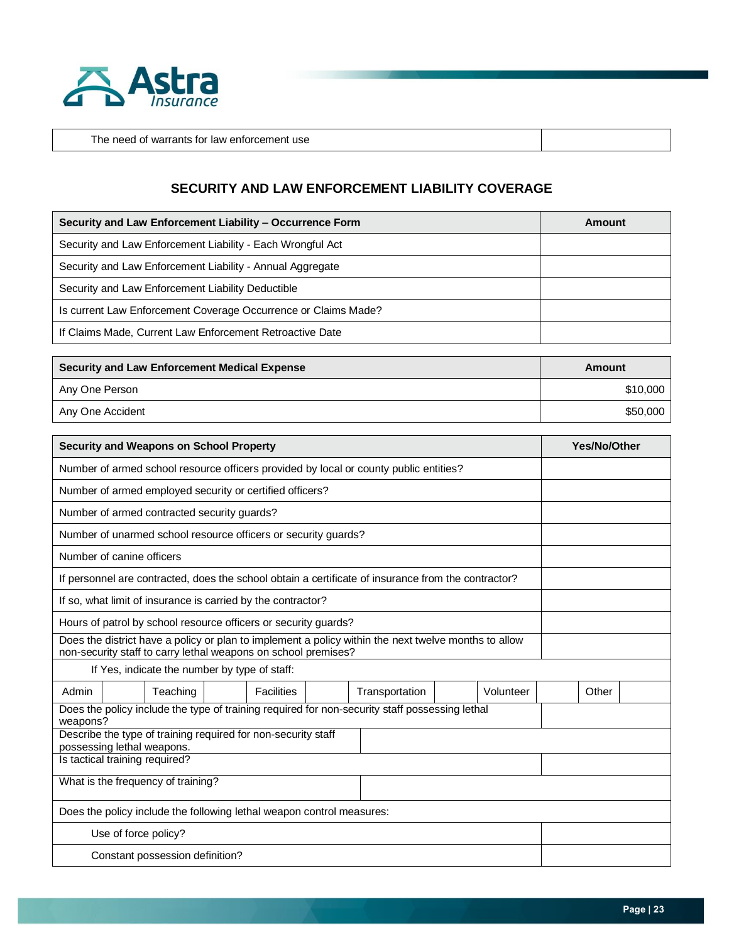

The need of warrants for law enforcement use

### **SECURITY AND LAW ENFORCEMENT LIABILITY COVERAGE**

| Security and Law Enforcement Liability - Occurrence Form       | Amount |
|----------------------------------------------------------------|--------|
| Security and Law Enforcement Liability - Each Wrongful Act     |        |
| Security and Law Enforcement Liability - Annual Aggregate      |        |
| Security and Law Enforcement Liability Deductible              |        |
| Is current Law Enforcement Coverage Occurrence or Claims Made? |        |
| If Claims Made, Current Law Enforcement Retroactive Date       |        |

| Security and Law Enforcement Medical Expense | Amount   |
|----------------------------------------------|----------|
| Any One Person                               | \$10,000 |
| Any One Accident                             | \$50,000 |

| <b>Security and Weapons on School Property</b>                                                                                                                         |       | Yes/No/Other |
|------------------------------------------------------------------------------------------------------------------------------------------------------------------------|-------|--------------|
| Number of armed school resource officers provided by local or county public entities?                                                                                  |       |              |
| Number of armed employed security or certified officers?                                                                                                               |       |              |
| Number of armed contracted security guards?                                                                                                                            |       |              |
| Number of unarmed school resource officers or security guards?                                                                                                         |       |              |
| Number of canine officers                                                                                                                                              |       |              |
| If personnel are contracted, does the school obtain a certificate of insurance from the contractor?                                                                    |       |              |
| If so, what limit of insurance is carried by the contractor?                                                                                                           |       |              |
| Hours of patrol by school resource officers or security guards?                                                                                                        |       |              |
| Does the district have a policy or plan to implement a policy within the next twelve months to allow<br>non-security staff to carry lethal weapons on school premises? |       |              |
| If Yes, indicate the number by type of staff:                                                                                                                          |       |              |
| Admin<br><b>Facilities</b><br>Teaching                                                                                                                                 | Other |              |
| Does the policy include the type of training required for non-security staff possessing lethal<br>weapons?                                                             |       |              |
| Describe the type of training required for non-security staff<br>possessing lethal weapons.                                                                            |       |              |
| Is tactical training required?                                                                                                                                         |       |              |
| What is the frequency of training?                                                                                                                                     |       |              |
| Does the policy include the following lethal weapon control measures:                                                                                                  |       |              |
| Use of force policy?                                                                                                                                                   |       |              |
| Constant possession definition?                                                                                                                                        |       |              |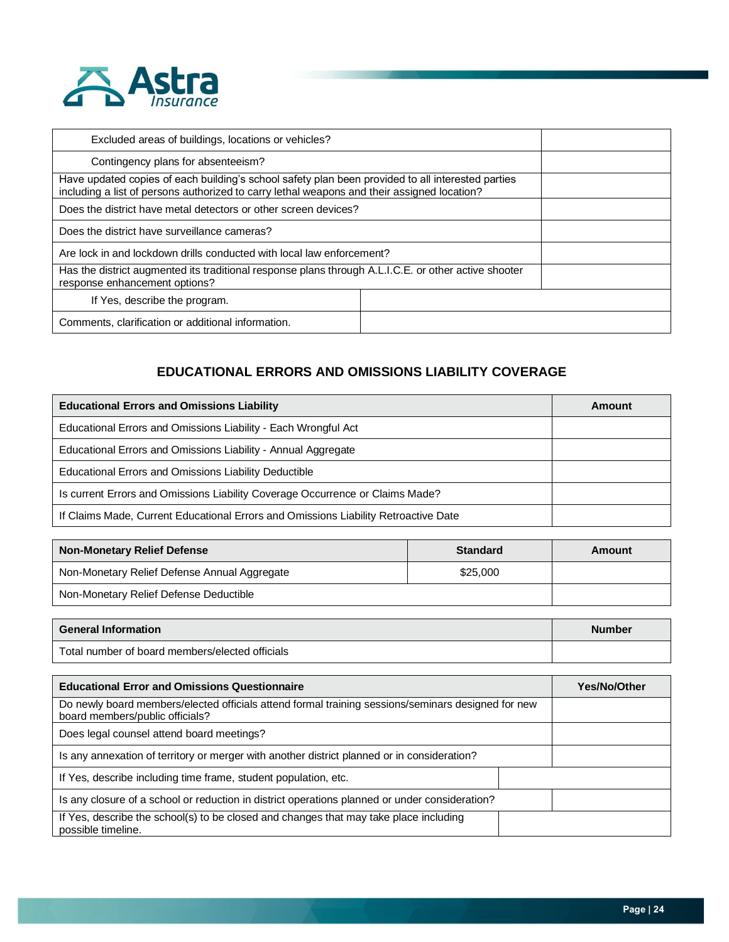

| Excluded areas of buildings, locations or vehicles?                                                                                                                                              |  |
|--------------------------------------------------------------------------------------------------------------------------------------------------------------------------------------------------|--|
| Contingency plans for absenteeism?                                                                                                                                                               |  |
| Have updated copies of each building's school safety plan been provided to all interested parties<br>including a list of persons authorized to carry lethal weapons and their assigned location? |  |
| Does the district have metal detectors or other screen devices?                                                                                                                                  |  |
| Does the district have surveillance cameras?                                                                                                                                                     |  |
| Are lock in and lockdown drills conducted with local law enforcement?                                                                                                                            |  |
| Has the district augmented its traditional response plans through A.L.I.C.E. or other active shooter<br>response enhancement options?                                                            |  |
| If Yes, describe the program.                                                                                                                                                                    |  |
| Comments, clarification or additional information.                                                                                                                                               |  |

# **EDUCATIONAL ERRORS AND OMISSIONS LIABILITY COVERAGE**

| <b>Educational Errors and Omissions Liability</b>                                   | Amount |
|-------------------------------------------------------------------------------------|--------|
| Educational Errors and Omissions Liability - Each Wrongful Act                      |        |
| Educational Errors and Omissions Liability - Annual Aggregate                       |        |
| Educational Errors and Omissions Liability Deductible                               |        |
| Is current Errors and Omissions Liability Coverage Occurrence or Claims Made?       |        |
| If Claims Made, Current Educational Errors and Omissions Liability Retroactive Date |        |

| <b>Non-Monetary Relief Defense</b>           | <b>Standard</b> | Amount |
|----------------------------------------------|-----------------|--------|
| Non-Monetary Relief Defense Annual Aggregate | \$25,000        |        |
| Non-Monetary Relief Defense Deductible       |                 |        |

| <b>General Information</b>                      | <b>Number</b> |
|-------------------------------------------------|---------------|
| Total number of board members/elected officials |               |

| <b>Educational Error and Omissions Questionnaire</b>                                                                                  | Yes/No/Other |  |
|---------------------------------------------------------------------------------------------------------------------------------------|--------------|--|
| Do newly board members/elected officials attend formal training sessions/seminars designed for new<br>board members/public officials? |              |  |
| Does legal counsel attend board meetings?                                                                                             |              |  |
| Is any annexation of territory or merger with another district planned or in consideration?                                           |              |  |
| If Yes, describe including time frame, student population, etc.                                                                       |              |  |
| Is any closure of a school or reduction in district operations planned or under consideration?                                        |              |  |
| If Yes, describe the school(s) to be closed and changes that may take place including<br>possible timeline.                           |              |  |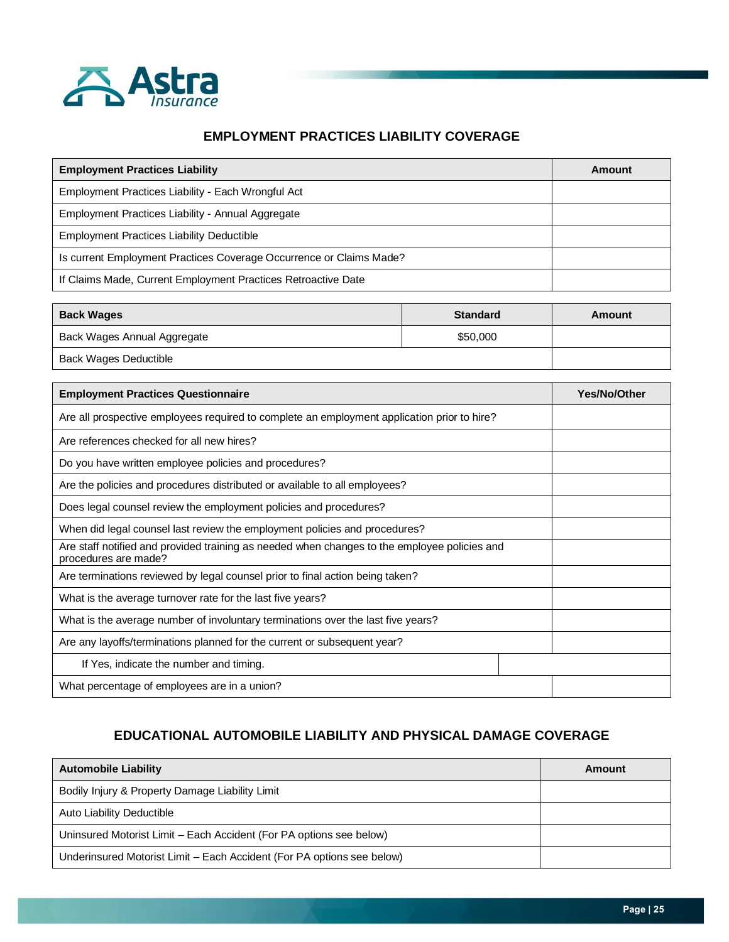

### **EMPLOYMENT PRACTICES LIABILITY COVERAGE**

| <b>Employment Practices Liability</b>                               | Amount |
|---------------------------------------------------------------------|--------|
| Employment Practices Liability - Each Wrongful Act                  |        |
| Employment Practices Liability - Annual Aggregate                   |        |
| <b>Employment Practices Liability Deductible</b>                    |        |
| Is current Employment Practices Coverage Occurrence or Claims Made? |        |
| If Claims Made, Current Employment Practices Retroactive Date       |        |

| <b>Back Wages</b>           | <b>Standard</b> | Amount |
|-----------------------------|-----------------|--------|
| Back Wages Annual Aggregate | \$50,000        |        |
| Back Wages Deductible       |                 |        |

| <b>Employment Practices Questionnaire</b>                                                                            | Yes/No/Other |
|----------------------------------------------------------------------------------------------------------------------|--------------|
| Are all prospective employees required to complete an employment application prior to hire?                          |              |
| Are references checked for all new hires?                                                                            |              |
| Do you have written employee policies and procedures?                                                                |              |
| Are the policies and procedures distributed or available to all employees?                                           |              |
| Does legal counsel review the employment policies and procedures?                                                    |              |
| When did legal counsel last review the employment policies and procedures?                                           |              |
| Are staff notified and provided training as needed when changes to the employee policies and<br>procedures are made? |              |
| Are terminations reviewed by legal counsel prior to final action being taken?                                        |              |
| What is the average turnover rate for the last five years?                                                           |              |
| What is the average number of involuntary terminations over the last five years?                                     |              |
| Are any layoffs/terminations planned for the current or subsequent year?                                             |              |
| If Yes, indicate the number and timing.                                                                              |              |
| What percentage of employees are in a union?                                                                         |              |

# **EDUCATIONAL AUTOMOBILE LIABILITY AND PHYSICAL DAMAGE COVERAGE**

| <b>Automobile Liability</b>                                            | Amount |
|------------------------------------------------------------------------|--------|
| Bodily Injury & Property Damage Liability Limit                        |        |
| Auto Liability Deductible                                              |        |
| Uninsured Motorist Limit - Each Accident (For PA options see below)    |        |
| Underinsured Motorist Limit – Each Accident (For PA options see below) |        |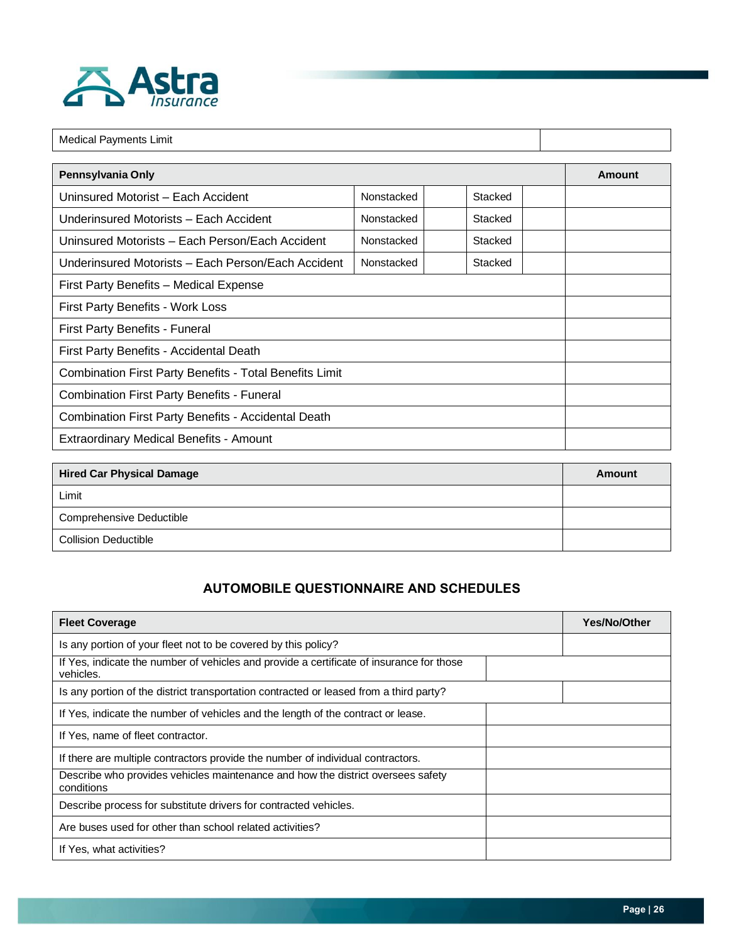

| <b>Medical Payments Limit</b>                              |                       |         |  |  |  |  |  |  |  |
|------------------------------------------------------------|-----------------------|---------|--|--|--|--|--|--|--|
| Pennsylvania Only<br>Amount                                |                       |         |  |  |  |  |  |  |  |
| Uninsured Motorist - Each Accident                         | Nonstacked<br>Stacked |         |  |  |  |  |  |  |  |
| Underinsured Motorists - Each Accident                     | Nonstacked<br>Stacked |         |  |  |  |  |  |  |  |
| Uninsured Motorists - Each Person/Each Accident            | Nonstacked            | Stacked |  |  |  |  |  |  |  |
| Underinsured Motorists – Each Person/Each Accident         |                       |         |  |  |  |  |  |  |  |
| First Party Benefits - Medical Expense                     |                       |         |  |  |  |  |  |  |  |
| First Party Benefits - Work Loss                           |                       |         |  |  |  |  |  |  |  |
| <b>First Party Benefits - Funeral</b>                      |                       |         |  |  |  |  |  |  |  |
| First Party Benefits - Accidental Death                    |                       |         |  |  |  |  |  |  |  |
| Combination First Party Benefits - Total Benefits Limit    |                       |         |  |  |  |  |  |  |  |
| <b>Combination First Party Benefits - Funeral</b>          |                       |         |  |  |  |  |  |  |  |
| <b>Combination First Party Benefits - Accidental Death</b> |                       |         |  |  |  |  |  |  |  |
| Extraordinary Medical Benefits - Amount                    |                       |         |  |  |  |  |  |  |  |

| <b>Hired Car Physical Damage</b> | Amount |
|----------------------------------|--------|
| Limit                            |        |
| Comprehensive Deductible         |        |
| <b>Collision Deductible</b>      |        |

# **AUTOMOBILE QUESTIONNAIRE AND SCHEDULES**

| <b>Fleet Coverage</b>                                                                                 | <b>Yes/No/Other</b> |
|-------------------------------------------------------------------------------------------------------|---------------------|
| Is any portion of your fleet not to be covered by this policy?                                        |                     |
| If Yes, indicate the number of vehicles and provide a certificate of insurance for those<br>vehicles. |                     |
| Is any portion of the district transportation contracted or leased from a third party?                |                     |
| If Yes, indicate the number of vehicles and the length of the contract or lease.                      |                     |
| If Yes, name of fleet contractor.                                                                     |                     |
| If there are multiple contractors provide the number of individual contractors.                       |                     |
| Describe who provides vehicles maintenance and how the district oversees safety<br>conditions         |                     |
| Describe process for substitute drivers for contracted vehicles.                                      |                     |
| Are buses used for other than school related activities?                                              |                     |
| If Yes, what activities?                                                                              |                     |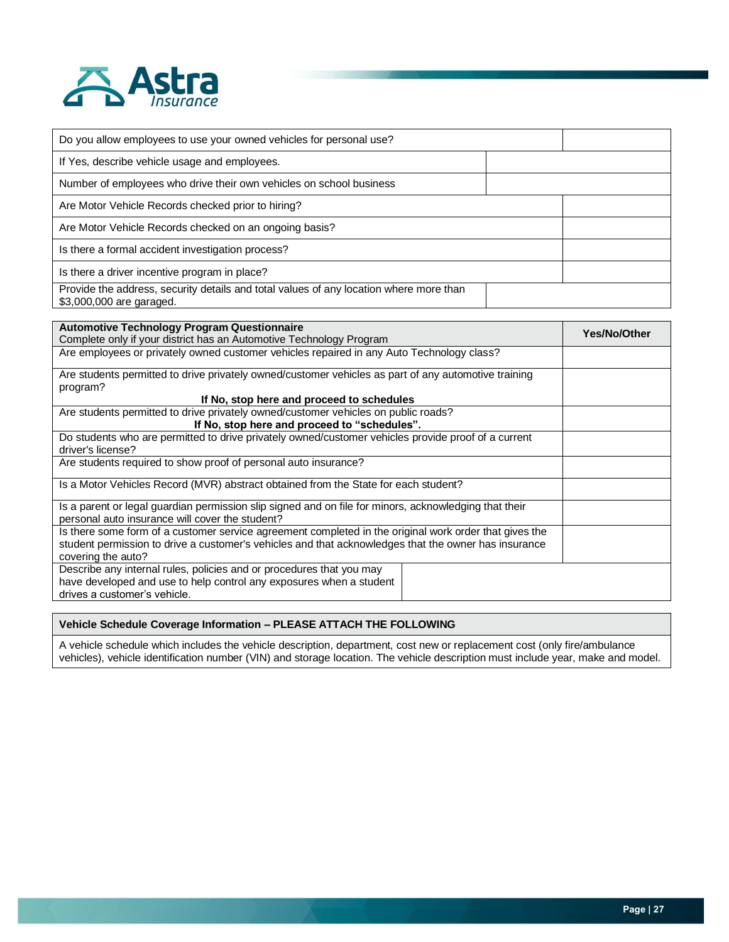

| Do you allow employees to use your owned vehicles for personal use?                                                |  |  |
|--------------------------------------------------------------------------------------------------------------------|--|--|
| If Yes, describe vehicle usage and employees.                                                                      |  |  |
| Number of employees who drive their own vehicles on school business                                                |  |  |
| Are Motor Vehicle Records checked prior to hiring?                                                                 |  |  |
| Are Motor Vehicle Records checked on an ongoing basis?                                                             |  |  |
| Is there a formal accident investigation process?                                                                  |  |  |
| Is there a driver incentive program in place?                                                                      |  |  |
| Provide the address, security details and total values of any location where more than<br>\$3,000,000 are garaged. |  |  |

| <b>Automotive Technology Program Questionnaire</b><br>Complete only if your district has an Automotive Technology Program                                                                                                            | <b>Yes/No/Other</b> |
|--------------------------------------------------------------------------------------------------------------------------------------------------------------------------------------------------------------------------------------|---------------------|
| Are employees or privately owned customer vehicles repaired in any Auto Technology class?                                                                                                                                            |                     |
| Are students permitted to drive privately owned/customer vehicles as part of any automotive training<br>program?                                                                                                                     |                     |
| If No, stop here and proceed to schedules                                                                                                                                                                                            |                     |
| Are students permitted to drive privately owned/customer vehicles on public roads?<br>If No, stop here and proceed to "schedules".                                                                                                   |                     |
| Do students who are permitted to drive privately owned/customer vehicles provide proof of a current<br>driver's license?                                                                                                             |                     |
| Are students required to show proof of personal auto insurance?                                                                                                                                                                      |                     |
| Is a Motor Vehicles Record (MVR) abstract obtained from the State for each student?                                                                                                                                                  |                     |
| Is a parent or legal guardian permission slip signed and on file for minors, acknowledging that their<br>personal auto insurance will cover the student?                                                                             |                     |
| Is there some form of a customer service agreement completed in the original work order that gives the<br>student permission to drive a customer's vehicles and that acknowledges that the owner has insurance<br>covering the auto? |                     |
| Describe any internal rules, policies and or procedures that you may<br>have developed and use to help control any exposures when a student<br>drives a customer's vehicle.                                                          |                     |

### **Vehicle Schedule Coverage Information – PLEASE ATTACH THE FOLLOWING**

A vehicle schedule which includes the vehicle description, department, cost new or replacement cost (only fire/ambulance vehicles), vehicle identification number (VIN) and storage location. The vehicle description must include year, make and model.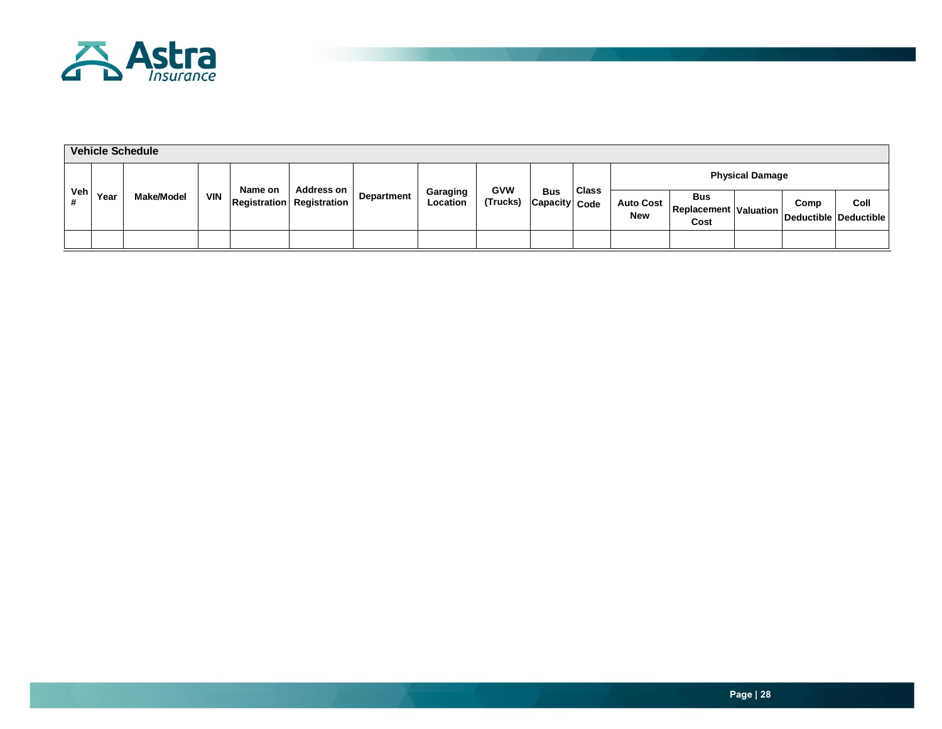

| <b>Vehicle Schedule</b> |      |            |            |         |                                  |            |                             |                        |                             |              |                                |                                                    |  |      |                               |
|-------------------------|------|------------|------------|---------|----------------------------------|------------|-----------------------------|------------------------|-----------------------------|--------------|--------------------------------|----------------------------------------------------|--|------|-------------------------------|
|                         |      |            |            | Name on | <b>Address on</b>                |            | <b>Physical Damage</b>      |                        |                             |              |                                |                                                    |  |      |                               |
| Veh                     | Year | Make/Model | <b>VIN</b> |         | <b>Registration</b> Registration | Department | Garaging<br><b>Location</b> | <b>GVW</b><br>(Trucks) | <b>Bus</b><br>Capacity Code | <b>Class</b> | <b>Auto Cost</b><br><b>New</b> | <b>Bus</b><br><b>Replacement Valuation</b><br>Cost |  | Comp | Coll<br>Deductible Deductible |
|                         |      |            |            |         |                                  |            |                             |                        |                             |              |                                |                                                    |  |      |                               |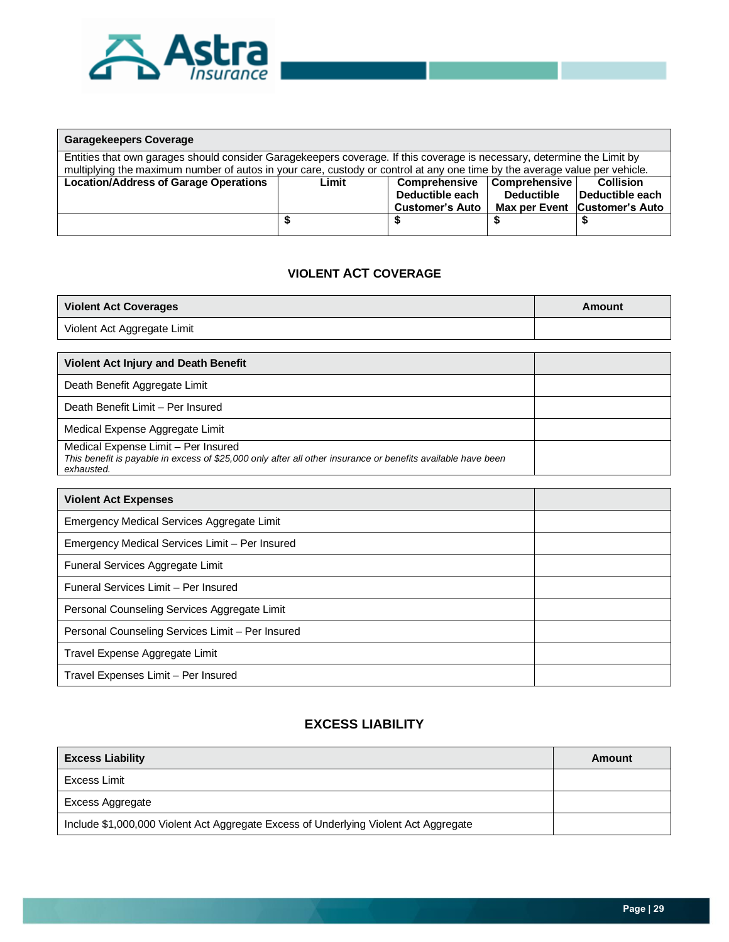

| <b>Garagekeepers Coverage</b>                                                                                                                                                                                                                         |       |                        |                   |                               |  |  |  |  |  |
|-------------------------------------------------------------------------------------------------------------------------------------------------------------------------------------------------------------------------------------------------------|-------|------------------------|-------------------|-------------------------------|--|--|--|--|--|
| Entities that own garages should consider Garagekeepers coverage. If this coverage is necessary, determine the Limit by<br>multiplying the maximum number of autos in your care, custody or control at any one time by the average value per vehicle. |       |                        |                   |                               |  |  |  |  |  |
|                                                                                                                                                                                                                                                       |       |                        |                   |                               |  |  |  |  |  |
| <b>Location/Address of Garage Operations</b>                                                                                                                                                                                                          | Limit | <b>Comprehensive</b>   | Comprehensive     | <b>Collision</b>              |  |  |  |  |  |
|                                                                                                                                                                                                                                                       |       | Deductible each        | <b>Deductible</b> | Deductible each               |  |  |  |  |  |
|                                                                                                                                                                                                                                                       |       | <b>Customer's Auto</b> |                   | Max per Event Customer's Auto |  |  |  |  |  |
|                                                                                                                                                                                                                                                       |       |                        |                   |                               |  |  |  |  |  |

### **VIOLENT ACT COVERAGE**

| <b>Violent Act Coverages</b>                                                                                                                                      | Amount |
|-------------------------------------------------------------------------------------------------------------------------------------------------------------------|--------|
| Violent Act Aggregate Limit                                                                                                                                       |        |
|                                                                                                                                                                   |        |
| <b>Violent Act Injury and Death Benefit</b>                                                                                                                       |        |
| Death Benefit Aggregate Limit                                                                                                                                     |        |
| Death Benefit Limit - Per Insured                                                                                                                                 |        |
| Medical Expense Aggregate Limit                                                                                                                                   |        |
| Medical Expense Limit - Per Insured<br>This benefit is payable in excess of \$25,000 only after all other insurance or benefits available have been<br>exhausted. |        |

| <b>Violent Act Expenses</b>                      |  |
|--------------------------------------------------|--|
| Emergency Medical Services Aggregate Limit       |  |
| Emergency Medical Services Limit - Per Insured   |  |
| Funeral Services Aggregate Limit                 |  |
| Funeral Services Limit - Per Insured             |  |
| Personal Counseling Services Aggregate Limit     |  |
| Personal Counseling Services Limit - Per Insured |  |
| Travel Expense Aggregate Limit                   |  |
| Travel Expenses Limit - Per Insured              |  |

### **EXCESS LIABILITY**

| <b>Excess Liability</b>                                                              | Amount |
|--------------------------------------------------------------------------------------|--------|
| Excess Limit                                                                         |        |
| Excess Aggregate                                                                     |        |
| Include \$1,000,000 Violent Act Aggregate Excess of Underlying Violent Act Aggregate |        |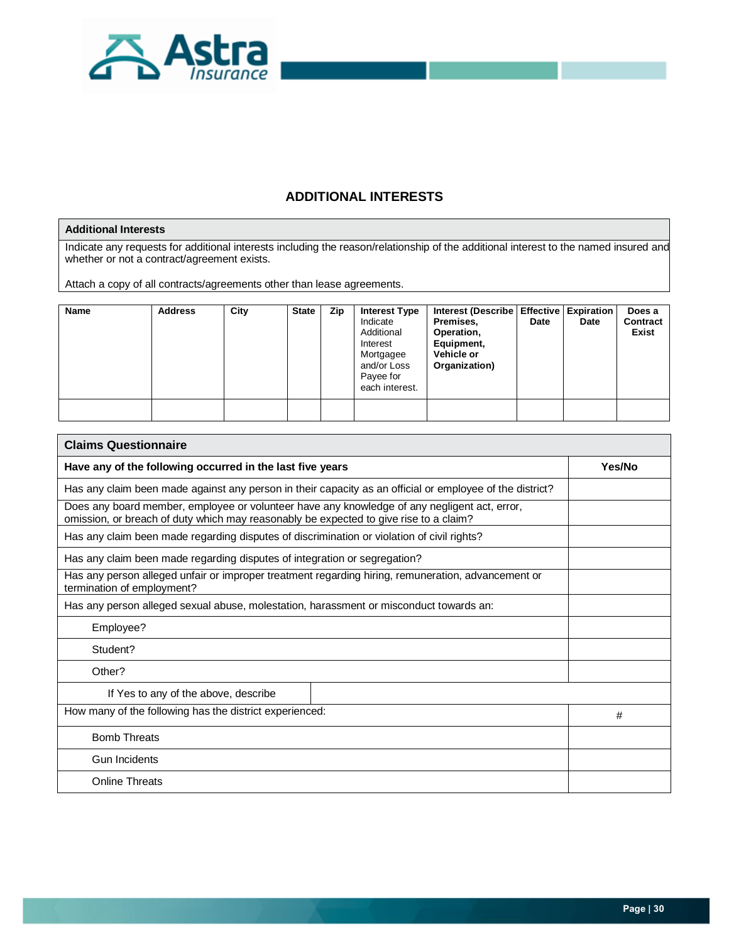

# **ADDITIONAL INTERESTS**

### **Additional Interests**

Indicate any requests for additional interests including the reason/relationship of the additional interest to the named insured and whether or not a contract/agreement exists.

Attach a copy of all contracts/agreements other than lease agreements.

| <b>Name</b> | <b>Address</b> | City | <b>State</b> | Zip | <b>Interest Type</b><br>Indicate<br>Additional<br>Interest<br>Mortgagee<br>and/or Loss<br>Payee for<br>each interest. | Interest (Describe   Effective   Expiration<br>Premises,<br>Operation,<br>Equipment,<br>Vehicle or<br>Organization) | Date | Date | Does a<br>Contract<br>Exist |
|-------------|----------------|------|--------------|-----|-----------------------------------------------------------------------------------------------------------------------|---------------------------------------------------------------------------------------------------------------------|------|------|-----------------------------|
|             |                |      |              |     |                                                                                                                       |                                                                                                                     |      |      |                             |

| <b>Claims Questionnaire</b>                                                                                                                                                           |        |
|---------------------------------------------------------------------------------------------------------------------------------------------------------------------------------------|--------|
| Have any of the following occurred in the last five years                                                                                                                             | Yes/No |
| Has any claim been made against any person in their capacity as an official or employee of the district?                                                                              |        |
| Does any board member, employee or volunteer have any knowledge of any negligent act, error,<br>omission, or breach of duty which may reasonably be expected to give rise to a claim? |        |
| Has any claim been made regarding disputes of discrimination or violation of civil rights?                                                                                            |        |
| Has any claim been made regarding disputes of integration or segregation?                                                                                                             |        |
| Has any person alleged unfair or improper treatment regarding hiring, remuneration, advancement or<br>termination of employment?                                                      |        |
| Has any person alleged sexual abuse, molestation, harassment or misconduct towards an:                                                                                                |        |
| Employee?                                                                                                                                                                             |        |
| Student?                                                                                                                                                                              |        |
| Other?                                                                                                                                                                                |        |
| If Yes to any of the above, describe                                                                                                                                                  |        |
| How many of the following has the district experienced:                                                                                                                               | #      |
| <b>Bomb Threats</b>                                                                                                                                                                   |        |
| <b>Gun Incidents</b>                                                                                                                                                                  |        |
| <b>Online Threats</b>                                                                                                                                                                 |        |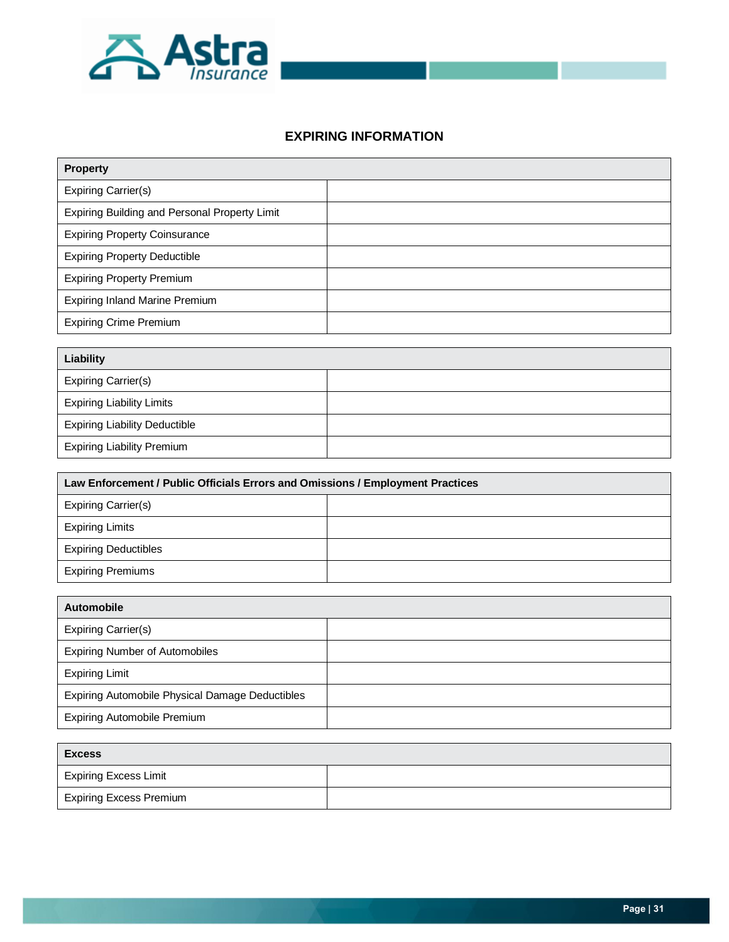

### **EXPIRING INFORMATION**

| <b>Property</b>                               |  |  |
|-----------------------------------------------|--|--|
| <b>Expiring Carrier(s)</b>                    |  |  |
| Expiring Building and Personal Property Limit |  |  |
| <b>Expiring Property Coinsurance</b>          |  |  |
| <b>Expiring Property Deductible</b>           |  |  |
| <b>Expiring Property Premium</b>              |  |  |
| <b>Expiring Inland Marine Premium</b>         |  |  |
| <b>Expiring Crime Premium</b>                 |  |  |

| Liability                            |  |
|--------------------------------------|--|
| Expiring Carrier(s)                  |  |
| <b>Expiring Liability Limits</b>     |  |
| <b>Expiring Liability Deductible</b> |  |
| <b>Expiring Liability Premium</b>    |  |

| Law Enforcement / Public Officials Errors and Omissions / Employment Practices |  |  |  |
|--------------------------------------------------------------------------------|--|--|--|
| Expiring Carrier(s)                                                            |  |  |  |
| <b>Expiring Limits</b>                                                         |  |  |  |
| <b>Expiring Deductibles</b>                                                    |  |  |  |
| <b>Expiring Premiums</b>                                                       |  |  |  |

| Automobile                                      |  |
|-------------------------------------------------|--|
| Expiring Carrier(s)                             |  |
| <b>Expiring Number of Automobiles</b>           |  |
| <b>Expiring Limit</b>                           |  |
| Expiring Automobile Physical Damage Deductibles |  |
| <b>Expiring Automobile Premium</b>              |  |

| Excess                         |  |  |
|--------------------------------|--|--|
| <b>Expiring Excess Limit</b>   |  |  |
| <b>Expiring Excess Premium</b> |  |  |